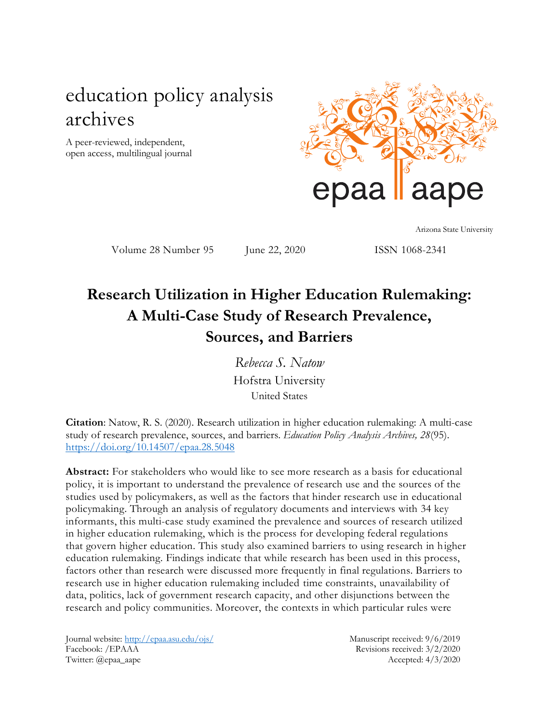# education policy analysis archives

A peer-reviewed, independent, open access, multilingual journal



Arizona State University

Volume 28 Number 95 June 22, 2020 ISSN 1068-2341

# **Research Utilization in Higher Education Rulemaking: A Multi-Case Study of Research Prevalence, Sources, and Barriers**

*Rebecca S. Natow* Hofstra University United States

**Citation**: Natow, R. S. (2020). Research utilization in higher education rulemaking: A multi-case study of research prevalence, sources, and barriers. *Education Policy Analysis Archives, 28*(95). <https://doi.org/10.14507/epaa.28.5048>

**Abstract:** For stakeholders who would like to see more research as a basis for educational policy, it is important to understand the prevalence of research use and the sources of the studies used by policymakers, as well as the factors that hinder research use in educational policymaking. Through an analysis of regulatory documents and interviews with 34 key informants, this multi-case study examined the prevalence and sources of research utilized in higher education rulemaking, which is the process for developing federal regulations that govern higher education. This study also examined barriers to using research in higher education rulemaking. Findings indicate that while research has been used in this process, factors other than research were discussed more frequently in final regulations. Barriers to research use in higher education rulemaking included time constraints, unavailability of data, politics, lack of government research capacity, and other disjunctions between the research and policy communities. Moreover, the contexts in which particular rules were

Journal website:<http://epaa.asu.edu/ojs/> Manuscript received: 9/6/2019 Facebook: /EPAAA Revisions received: 3/2/2020 Twitter: @epaa\_aape Accepted: 4/3/2020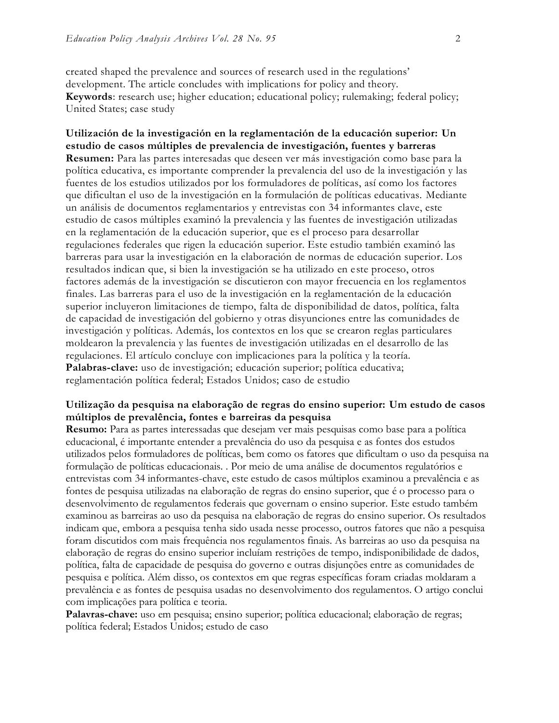created shaped the prevalence and sources of research used in the regulations' development. The article concludes with implications for policy and theory. **Keywords**: research use; higher education; educational policy; rulemaking; federal policy; United States; case study

**Utilización de la investigación en la reglamentación de la educación superior: Un estudio de casos múltiples de prevalencia de investigación, fuentes y barreras Resumen:** Para las partes interesadas que deseen ver más investigación como base para la política educativa, es importante comprender la prevalencia del uso de la investigación y las fuentes de los estudios utilizados por los formuladores de políticas, así como los factores que dificultan el uso de la investigación en la formulación de políticas educativas. Mediante un análisis de documentos reglamentarios y entrevistas con 34 informantes clave, este estudio de casos múltiples examinó la prevalencia y las fuentes de investigación utilizadas en la reglamentación de la educación superior, que es el proceso para desarrollar regulaciones federales que rigen la educación superior. Este estudio también examinó las barreras para usar la investigación en la elaboración de normas de educación superior. Los resultados indican que, si bien la investigación se ha utilizado en este proceso, otros factores además de la investigación se discutieron con mayor frecuencia en los reglamentos finales. Las barreras para el uso de la investigación en la reglamentación de la educación superior incluyeron limitaciones de tiempo, falta de disponibilidad de datos, política, falta de capacidad de investigación del gobierno y otras disyunciones entre las comunidades de investigación y políticas. Además, los contextos en los que se crearon reglas particulares moldearon la prevalencia y las fuentes de investigación utilizadas en el desarrollo de las regulaciones. El artículo concluye con implicaciones para la política y la teoría. **Palabras-clave:** uso de investigación; educación superior; política educativa; reglamentación política federal; Estados Unidos; caso de estudio

### **Utilização da pesquisa na elaboração de regras do ensino superior: Um estudo de casos múltiplos de prevalência, fontes e barreiras da pesquisa**

**Resumo:** Para as partes interessadas que desejam ver mais pesquisas como base para a política educacional, é importante entender a prevalência do uso da pesquisa e as fontes dos estudos utilizados pelos formuladores de políticas, bem como os fatores que dificultam o uso da pesquisa na formulação de políticas educacionais. . Por meio de uma análise de documentos regulatórios e entrevistas com 34 informantes-chave, este estudo de casos múltiplos examinou a prevalência e as fontes de pesquisa utilizadas na elaboração de regras do ensino superior, que é o processo para o desenvolvimento de regulamentos federais que governam o ensino superior. Este estudo também examinou as barreiras ao uso da pesquisa na elaboração de regras do ensino superior. Os resultados indicam que, embora a pesquisa tenha sido usada nesse processo, outros fatores que não a pesquisa foram discutidos com mais frequência nos regulamentos finais. As barreiras ao uso da pesquisa na elaboração de regras do ensino superior incluíam restrições de tempo, indisponibilidade de dados, política, falta de capacidade de pesquisa do governo e outras disjunções entre as comunidades de pesquisa e política. Além disso, os contextos em que regras específicas foram criadas moldaram a prevalência e as fontes de pesquisa usadas no desenvolvimento dos regulamentos. O artigo conclui com implicações para política e teoria.

**Palavras-chave:** uso em pesquisa; ensino superior; política educacional; elaboração de regras; política federal; Estados Unidos; estudo de caso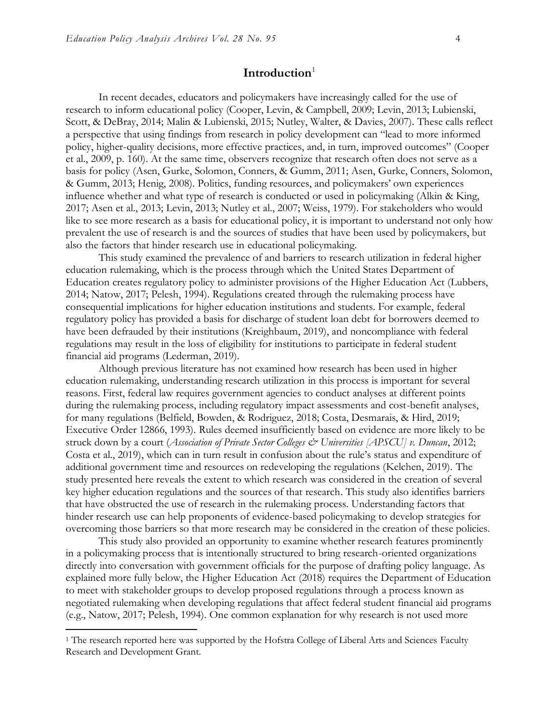### **Introduction**<sup>1</sup>

In recent decades, educators and policymakers have increasingly called for the use of research to inform educational policy (Cooper, Levin, & Campbell, 2009; Levin, 2013; Lubienski, Scott, & DeBray, 2014; Malin & Lubienski, 2015; Nutley, Walter, & Davies, 2007). These calls reflect a perspective that using findings from research in policy development can "lead to more informed policy, higher-quality decisions, more effective practices, and, in turn, improved outcomes" (Cooper et al., 2009, p. 160). At the same time, observers recognize that research often does not serve as a basis for policy (Asen, Gurke, Solomon, Conners, & Gumm, 2011; Asen, Gurke, Conners, Solomon, & Gumm, 2013; Henig, 2008). Politics, funding resources, and policymakers' own experiences influence whether and what type of research is conducted or used in policymaking (Alkin & King, 2017; Asen et al., 2013; Levin, 2013; Nutley et al., 2007; Weiss, 1979). For stakeholders who would like to see more research as a basis for educational policy, it is important to understand not only how prevalent the use of research is and the sources of studies that have been used by policymakers, but also the factors that hinder research use in educational policymaking.

This study examined the prevalence of and barriers to research utilization in federal higher education rulemaking, which is the process through which the United States Department of Education creates regulatory policy to administer provisions of the Higher Education Act (Lubbers, 2014; Natow, 2017; Pelesh, 1994). Regulations created through the rulemaking process have consequential implications for higher education institutions and students. For example, federal regulatory policy has provided a basis for discharge of student loan debt for borrowers deemed to have been defrauded by their institutions (Kreighbaum, 2019), and noncompliance with federal regulations may result in the loss of eligibility for institutions to participate in federal student financial aid programs (Lederman, 2019).

Although previous literature has not examined how research has been used in higher education rulemaking, understanding research utilization in this process is important for several reasons. First, federal law requires government agencies to conduct analyses at different points during the rulemaking process, including regulatory impact assessments and cost-benefit analyses, for many regulations (Belfield, Bowden, & Rodriguez, 2018; Costa, Desmarais, & Hird, 2019; Executive Order 12866, 1993). Rules deemed insufficiently based on evidence are more likely to be struck down by a court (*Association of Private Sector Colleges & Universities [APSCU] v. Duncan*, 2012; Costa et al., 2019), which can in turn result in confusion about the rule's status and expenditure of additional government time and resources on redeveloping the regulations (Kelchen, 2019). The study presented here reveals the extent to which research was considered in the creation of several key higher education regulations and the sources of that research. This study also identifies barriers that have obstructed the use of research in the rulemaking process. Understanding factors that hinder research use can help proponents of evidence-based policymaking to develop strategies for overcoming those barriers so that more research may be considered in the creation of these policies.

This study also provided an opportunity to examine whether research features prominently in a policymaking process that is intentionally structured to bring research-oriented organizations directly into conversation with government officials for the purpose of drafting policy language. As explained more fully below, the Higher Education Act (2018) requires the Department of Education to meet with stakeholder groups to develop proposed regulations through a process known as negotiated rulemaking when developing regulations that affect federal student financial aid programs (e.g., Natow, 2017; Pelesh, 1994). One common explanation for why research is not used more

<sup>&</sup>lt;sup>1</sup> The research reported here was supported by the Hofstra College of Liberal Arts and Sciences Faculty Research and Development Grant.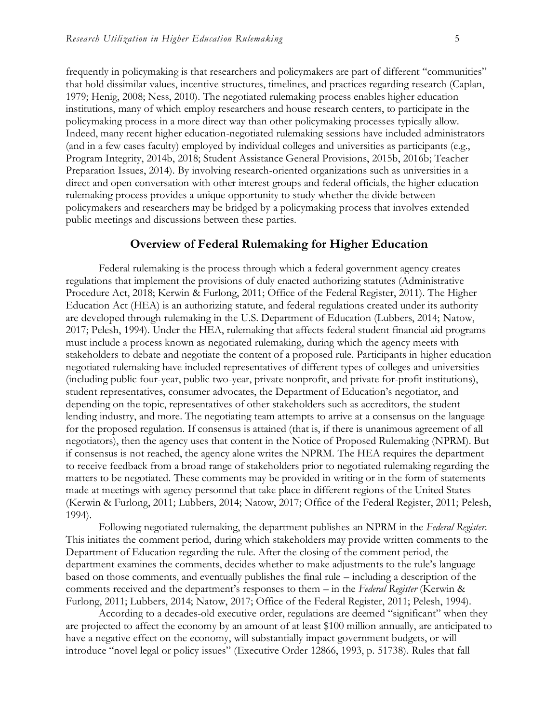frequently in policymaking is that researchers and policymakers are part of different "communities" that hold dissimilar values, incentive structures, timelines, and practices regarding research (Caplan, 1979; Henig, 2008; Ness, 2010). The negotiated rulemaking process enables higher education institutions, many of which employ researchers and house research centers, to participate in the policymaking process in a more direct way than other policymaking processes typically allow. Indeed, many recent higher education-negotiated rulemaking sessions have included administrators (and in a few cases faculty) employed by individual colleges and universities as participants (e.g., Program Integrity, 2014b, 2018; Student Assistance General Provisions, 2015b, 2016b; Teacher Preparation Issues, 2014). By involving research-oriented organizations such as universities in a direct and open conversation with other interest groups and federal officials, the higher education rulemaking process provides a unique opportunity to study whether the divide between policymakers and researchers may be bridged by a policymaking process that involves extended public meetings and discussions between these parties.

### **Overview of Federal Rulemaking for Higher Education**

Federal rulemaking is the process through which a federal government agency creates regulations that implement the provisions of duly enacted authorizing statutes (Administrative Procedure Act, 2018; Kerwin & Furlong, 2011; Office of the Federal Register, 2011). The Higher Education Act (HEA) is an authorizing statute, and federal regulations created under its authority are developed through rulemaking in the U.S. Department of Education (Lubbers, 2014; Natow, 2017; Pelesh, 1994). Under the HEA, rulemaking that affects federal student financial aid programs must include a process known as negotiated rulemaking, during which the agency meets with stakeholders to debate and negotiate the content of a proposed rule. Participants in higher education negotiated rulemaking have included representatives of different types of colleges and universities (including public four-year, public two-year, private nonprofit, and private for-profit institutions), student representatives, consumer advocates, the Department of Education's negotiator, and depending on the topic, representatives of other stakeholders such as accreditors, the student lending industry, and more. The negotiating team attempts to arrive at a consensus on the language for the proposed regulation. If consensus is attained (that is, if there is unanimous agreement of all negotiators), then the agency uses that content in the Notice of Proposed Rulemaking (NPRM). But if consensus is not reached, the agency alone writes the NPRM. The HEA requires the department to receive feedback from a broad range of stakeholders prior to negotiated rulemaking regarding the matters to be negotiated. These comments may be provided in writing or in the form of statements made at meetings with agency personnel that take place in different regions of the United States (Kerwin & Furlong, 2011; Lubbers, 2014; Natow, 2017; Office of the Federal Register, 2011; Pelesh, 1994).

Following negotiated rulemaking, the department publishes an NPRM in the *Federal Register*. This initiates the comment period, during which stakeholders may provide written comments to the Department of Education regarding the rule. After the closing of the comment period, the department examines the comments, decides whether to make adjustments to the rule's language based on those comments, and eventually publishes the final rule – including a description of the comments received and the department's responses to them – in the *Federal Register* (Kerwin & Furlong, 2011; Lubbers, 2014; Natow, 2017; Office of the Federal Register, 2011; Pelesh, 1994).

According to a decades-old executive order, regulations are deemed "significant" when they are projected to affect the economy by an amount of at least \$100 million annually, are anticipated to have a negative effect on the economy, will substantially impact government budgets, or will introduce "novel legal or policy issues" (Executive Order 12866, 1993, p. 51738). Rules that fall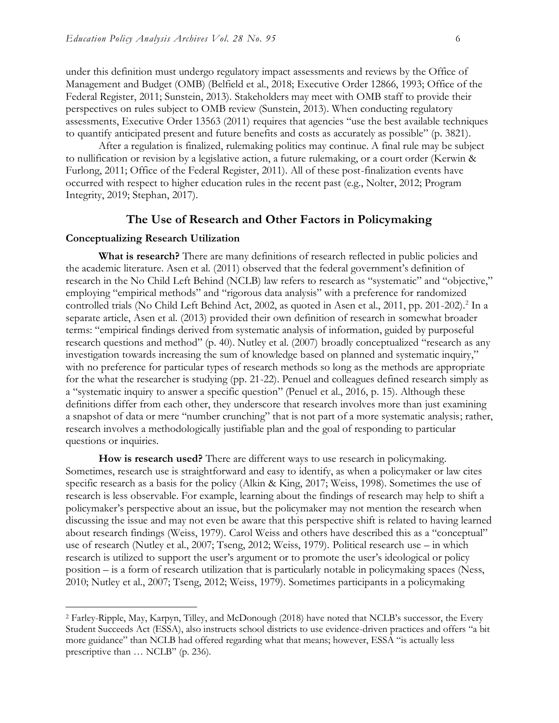under this definition must undergo regulatory impact assessments and reviews by the Office of Management and Budget (OMB) (Belfield et al., 2018; Executive Order 12866, 1993; Office of the Federal Register, 2011; Sunstein, 2013). Stakeholders may meet with OMB staff to provide their perspectives on rules subject to OMB review (Sunstein, 2013). When conducting regulatory assessments, Executive Order 13563 (2011) requires that agencies "use the best available techniques to quantify anticipated present and future benefits and costs as accurately as possible" (p. 3821).

After a regulation is finalized, rulemaking politics may continue. A final rule may be subject to nullification or revision by a legislative action, a future rulemaking, or a court order (Kerwin & Furlong, 2011; Office of the Federal Register, 2011). All of these post-finalization events have occurred with respect to higher education rules in the recent past (e.g., Nolter, 2012; Program Integrity, 2019; Stephan, 2017).

#### **The Use of Research and Other Factors in Policymaking**

#### **Conceptualizing Research Utilization**

 $\ddot{ }$ 

**What is research?** There are many definitions of research reflected in public policies and the academic literature. Asen et al. (2011) observed that the federal government's definition of research in the No Child Left Behind (NCLB) law refers to research as "systematic" and "objective," employing "empirical methods" and "rigorous data analysis" with a preference for randomized controlled trials (No Child Left Behind Act, 2002, as quoted in Asen et al., 2011, pp. 201-202).<sup>2</sup> In a separate article, Asen et al. (2013) provided their own definition of research in somewhat broader terms: "empirical findings derived from systematic analysis of information, guided by purposeful research questions and method" (p. 40). Nutley et al. (2007) broadly conceptualized "research as any investigation towards increasing the sum of knowledge based on planned and systematic inquiry," with no preference for particular types of research methods so long as the methods are appropriate for the what the researcher is studying (pp. 21-22). Penuel and colleagues defined research simply as a "systematic inquiry to answer a specific question" (Penuel et al., 2016, p. 15). Although these definitions differ from each other, they underscore that research involves more than just examining a snapshot of data or mere "number crunching" that is not part of a more systematic analysis; rather, research involves a methodologically justifiable plan and the goal of responding to particular questions or inquiries.

**How is research used?** There are different ways to use research in policymaking. Sometimes, research use is straightforward and easy to identify, as when a policymaker or law cites specific research as a basis for the policy (Alkin & King, 2017; Weiss, 1998). Sometimes the use of research is less observable. For example, learning about the findings of research may help to shift a policymaker's perspective about an issue, but the policymaker may not mention the research when discussing the issue and may not even be aware that this perspective shift is related to having learned about research findings (Weiss, 1979). Carol Weiss and others have described this as a "conceptual" use of research (Nutley et al., 2007; Tseng, 2012; Weiss, 1979). Political research use – in which research is utilized to support the user's argument or to promote the user's ideological or policy position – is a form of research utilization that is particularly notable in policymaking spaces (Ness, 2010; Nutley et al., 2007; Tseng, 2012; Weiss, 1979). Sometimes participants in a policymaking

<sup>2</sup> Farley-Ripple, May, Karpyn, Tilley, and McDonough (2018) have noted that NCLB's successor, the Every Student Succeeds Act (ESSA), also instructs school districts to use evidence-driven practices and offers "a bit more guidance" than NCLB had offered regarding what that means; however, ESSA "is actually less prescriptive than … NCLB" (p. 236).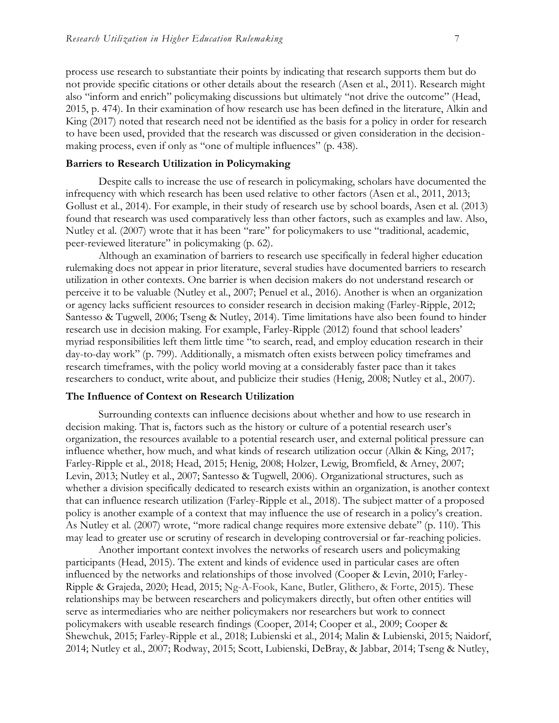process use research to substantiate their points by indicating that research supports them but do not provide specific citations or other details about the research (Asen et al., 2011). Research might also "inform and enrich" policymaking discussions but ultimately "not drive the outcome" (Head, 2015, p. 474). In their examination of how research use has been defined in the literature, Alkin and King (2017) noted that research need not be identified as the basis for a policy in order for research to have been used, provided that the research was discussed or given consideration in the decisionmaking process, even if only as "one of multiple influences" (p. 438).

#### **Barriers to Research Utilization in Policymaking**

Despite calls to increase the use of research in policymaking, scholars have documented the infrequency with which research has been used relative to other factors (Asen et al., 2011, 2013; Gollust et al., 2014). For example, in their study of research use by school boards, Asen et al. (2013) found that research was used comparatively less than other factors, such as examples and law. Also, Nutley et al. (2007) wrote that it has been "rare" for policymakers to use "traditional, academic, peer-reviewed literature" in policymaking (p. 62).

Although an examination of barriers to research use specifically in federal higher education rulemaking does not appear in prior literature, several studies have documented barriers to research utilization in other contexts. One barrier is when decision makers do not understand research or perceive it to be valuable (Nutley et al., 2007; Penuel et al., 2016). Another is when an organization or agency lacks sufficient resources to consider research in decision making (Farley-Ripple, 2012; Santesso & Tugwell, 2006; Tseng & Nutley, 2014). Time limitations have also been found to hinder research use in decision making. For example, Farley-Ripple (2012) found that school leaders' myriad responsibilities left them little time "to search, read, and employ education research in their day-to-day work" (p. 799). Additionally, a mismatch often exists between policy timeframes and research timeframes, with the policy world moving at a considerably faster pace than it takes researchers to conduct, write about, and publicize their studies (Henig, 2008; Nutley et al., 2007).

#### **The Influence of Context on Research Utilization**

Surrounding contexts can influence decisions about whether and how to use research in decision making. That is, factors such as the history or culture of a potential research user's organization, the resources available to a potential research user, and external political pressure can influence whether, how much, and what kinds of research utilization occur (Alkin & King, 2017; Farley-Ripple et al., 2018; Head, 2015; Henig, 2008; Holzer, Lewig, Bromfield, & Arney, 2007; Levin, 2013; Nutley et al., 2007; Santesso & Tugwell, 2006). Organizational structures, such as whether a division specifically dedicated to research exists within an organization, is another context that can influence research utilization (Farley-Ripple et al., 2018). The subject matter of a proposed policy is another example of a context that may influence the use of research in a policy's creation. As Nutley et al. (2007) wrote, "more radical change requires more extensive debate" (p. 110). This may lead to greater use or scrutiny of research in developing controversial or far-reaching policies.

Another important context involves the networks of research users and policymaking participants (Head, 2015). The extent and kinds of evidence used in particular cases are often influenced by the networks and relationships of those involved (Cooper & Levin, 2010; Farley-Ripple & Grajeda, 2020; Head, 2015; Ng-A-Fook, Kane, Butler, Glithero, & Forte, 2015). These relationships may be between researchers and policymakers directly, but often other entities will serve as intermediaries who are neither policymakers nor researchers but work to connect policymakers with useable research findings (Cooper, 2014; Cooper et al., 2009; Cooper & Shewchuk, 2015; Farley-Ripple et al., 2018; Lubienski et al., 2014; Malin & Lubienski, 2015; Naidorf, 2014; Nutley et al., 2007; Rodway, 2015; Scott, Lubienski, DeBray, & Jabbar, 2014; Tseng & Nutley,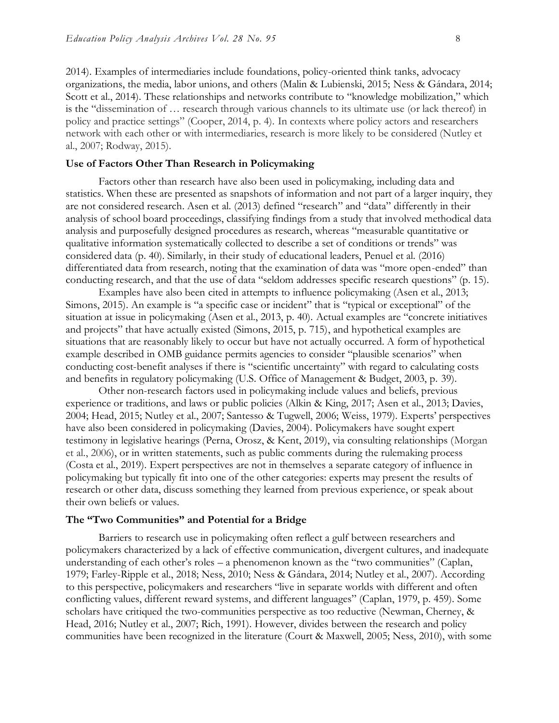2014). Examples of intermediaries include foundations, policy-oriented think tanks, advocacy organizations, the media, labor unions, and others (Malin & Lubienski, 2015; Ness & Gándara, 2014; Scott et al., 2014). These relationships and networks contribute to "knowledge mobilization," which is the "dissemination of … research through various channels to its ultimate use (or lack thereof) in policy and practice settings" (Cooper, 2014, p. 4). In contexts where policy actors and researchers network with each other or with intermediaries, research is more likely to be considered (Nutley et al., 2007; Rodway, 2015).

#### **Use of Factors Other Than Research in Policymaking**

Factors other than research have also been used in policymaking, including data and statistics. When these are presented as snapshots of information and not part of a larger inquiry, they are not considered research. Asen et al. (2013) defined "research" and "data" differently in their analysis of school board proceedings, classifying findings from a study that involved methodical data analysis and purposefully designed procedures as research, whereas "measurable quantitative or qualitative information systematically collected to describe a set of conditions or trends" was considered data (p. 40). Similarly, in their study of educational leaders, Penuel et al. (2016) differentiated data from research, noting that the examination of data was "more open-ended" than conducting research, and that the use of data "seldom addresses specific research questions" (p. 15).

Examples have also been cited in attempts to influence policymaking (Asen et al., 2013; Simons, 2015). An example is "a specific case or incident" that is "typical or exceptional" of the situation at issue in policymaking (Asen et al., 2013, p. 40). Actual examples are "concrete initiatives and projects" that have actually existed (Simons, 2015, p. 715), and hypothetical examples are situations that are reasonably likely to occur but have not actually occurred. A form of hypothetical example described in OMB guidance permits agencies to consider "plausible scenarios" when conducting cost-benefit analyses if there is "scientific uncertainty" with regard to calculating costs and benefits in regulatory policymaking (U.S. Office of Management & Budget, 2003, p. 39).

Other non-research factors used in policymaking include values and beliefs, previous experience or traditions, and laws or public policies (Alkin & King, 2017; Asen et al., 2013; Davies, 2004; Head, 2015; Nutley et al., 2007; Santesso & Tugwell, 2006; Weiss, 1979). Experts' perspectives have also been considered in policymaking (Davies, 2004). Policymakers have sought expert testimony in legislative hearings (Perna, Orosz, & Kent, 2019), via consulting relationships (Morgan et al., 2006), or in written statements, such as public comments during the rulemaking process (Costa et al., 2019). Expert perspectives are not in themselves a separate category of influence in policymaking but typically fit into one of the other categories: experts may present the results of research or other data, discuss something they learned from previous experience, or speak about their own beliefs or values.

#### **The "Two Communities" and Potential for a Bridge**

Barriers to research use in policymaking often reflect a gulf between researchers and policymakers characterized by a lack of effective communication, divergent cultures, and inadequate understanding of each other's roles – a phenomenon known as the "two communities" (Caplan, 1979; Farley-Ripple et al., 2018; Ness, 2010; Ness & Gándara, 2014; Nutley et al., 2007). According to this perspective, policymakers and researchers "live in separate worlds with different and often conflicting values, different reward systems, and different languages" (Caplan, 1979, p. 459). Some scholars have critiqued the two-communities perspective as too reductive (Newman, Cherney, & Head, 2016; Nutley et al., 2007; Rich, 1991). However, divides between the research and policy communities have been recognized in the literature (Court & Maxwell, 2005; Ness, 2010), with some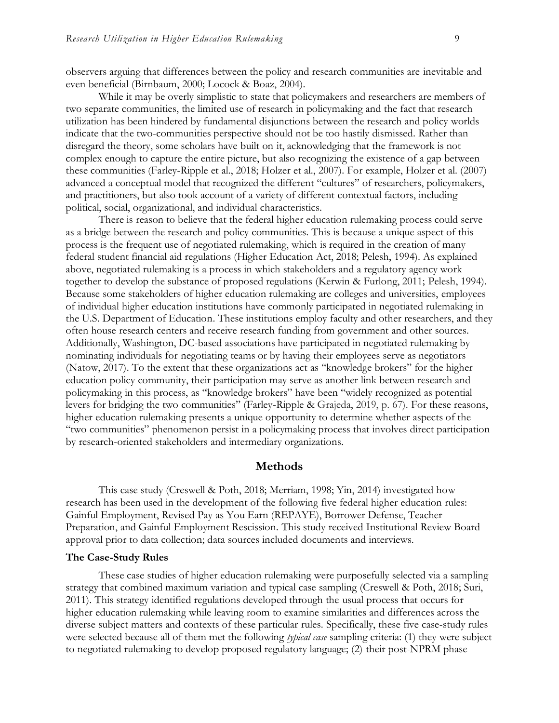observers arguing that differences between the policy and research communities are inevitable and even beneficial (Birnbaum, 2000; Locock & Boaz, 2004).

While it may be overly simplistic to state that policymakers and researchers are members of two separate communities, the limited use of research in policymaking and the fact that research utilization has been hindered by fundamental disjunctions between the research and policy worlds indicate that the two-communities perspective should not be too hastily dismissed. Rather than disregard the theory, some scholars have built on it, acknowledging that the framework is not complex enough to capture the entire picture, but also recognizing the existence of a gap between these communities (Farley-Ripple et al., 2018; Holzer et al., 2007). For example, Holzer et al. (2007) advanced a conceptual model that recognized the different "cultures" of researchers, policymakers, and practitioners, but also took account of a variety of different contextual factors, including political, social, organizational, and individual characteristics.

There is reason to believe that the federal higher education rulemaking process could serve as a bridge between the research and policy communities. This is because a unique aspect of this process is the frequent use of negotiated rulemaking, which is required in the creation of many federal student financial aid regulations (Higher Education Act, 2018; Pelesh, 1994). As explained above, negotiated rulemaking is a process in which stakeholders and a regulatory agency work together to develop the substance of proposed regulations (Kerwin & Furlong, 2011; Pelesh, 1994). Because some stakeholders of higher education rulemaking are colleges and universities, employees of individual higher education institutions have commonly participated in negotiated rulemaking in the U.S. Department of Education. These institutions employ faculty and other researchers, and they often house research centers and receive research funding from government and other sources. Additionally, Washington, DC-based associations have participated in negotiated rulemaking by nominating individuals for negotiating teams or by having their employees serve as negotiators (Natow, 2017). To the extent that these organizations act as "knowledge brokers" for the higher education policy community, their participation may serve as another link between research and policymaking in this process, as "knowledge brokers" have been "widely recognized as potential levers for bridging the two communities" (Farley-Ripple & Grajeda, 2019, p. 67). For these reasons, higher education rulemaking presents a unique opportunity to determine whether aspects of the "two communities" phenomenon persist in a policymaking process that involves direct participation by research-oriented stakeholders and intermediary organizations.

### **Methods**

This case study (Creswell & Poth, 2018; Merriam, 1998; Yin, 2014) investigated how research has been used in the development of the following five federal higher education rules: Gainful Employment, Revised Pay as You Earn (REPAYE), Borrower Defense, Teacher Preparation, and Gainful Employment Rescission. This study received Institutional Review Board approval prior to data collection; data sources included documents and interviews.

#### **The Case-Study Rules**

These case studies of higher education rulemaking were purposefully selected via a sampling strategy that combined maximum variation and typical case sampling (Creswell & Poth, 2018; Suri, 2011). This strategy identified regulations developed through the usual process that occurs for higher education rulemaking while leaving room to examine similarities and differences across the diverse subject matters and contexts of these particular rules. Specifically, these five case-study rules were selected because all of them met the following *typical case* sampling criteria: (1) they were subject to negotiated rulemaking to develop proposed regulatory language; (2) their post-NPRM phase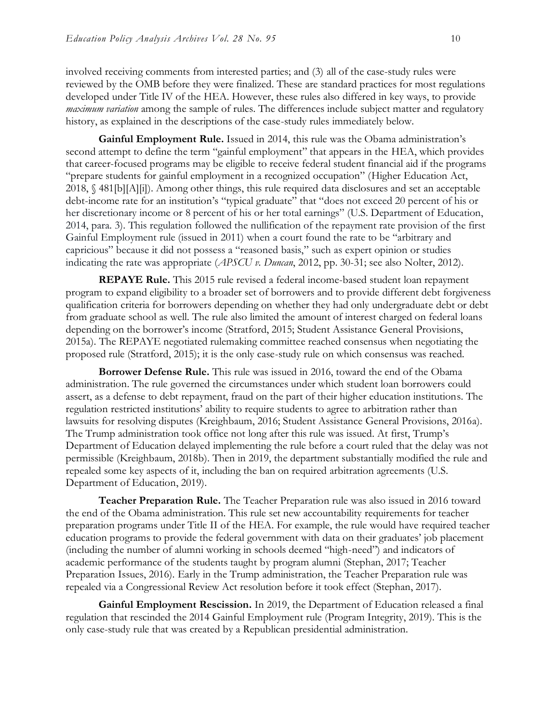involved receiving comments from interested parties; and (3) all of the case-study rules were reviewed by the OMB before they were finalized. These are standard practices for most regulations developed under Title IV of the HEA. However, these rules also differed in key ways, to provide *maximum variation* among the sample of rules. The differences include subject matter and regulatory history, as explained in the descriptions of the case-study rules immediately below.

**Gainful Employment Rule.** Issued in 2014, this rule was the Obama administration's second attempt to define the term "gainful employment" that appears in the HEA, which provides that career-focused programs may be eligible to receive federal student financial aid if the programs "prepare students for gainful employment in a recognized occupation" (Higher Education Act, 2018, § 481[b][A][i]). Among other things, this rule required data disclosures and set an acceptable debt-income rate for an institution's "typical graduate" that "does not exceed 20 percent of his or her discretionary income or 8 percent of his or her total earnings" (U.S. Department of Education, 2014, para. 3). This regulation followed the nullification of the repayment rate provision of the first Gainful Employment rule (issued in 2011) when a court found the rate to be "arbitrary and capricious" because it did not possess a "reasoned basis," such as expert opinion or studies indicating the rate was appropriate (*APSCU v. Duncan*, 2012, pp. 30-31; see also Nolter, 2012).

**REPAYE Rule.** This 2015 rule revised a federal income-based student loan repayment program to expand eligibility to a broader set of borrowers and to provide different debt forgiveness qualification criteria for borrowers depending on whether they had only undergraduate debt or debt from graduate school as well. The rule also limited the amount of interest charged on federal loans depending on the borrower's income (Stratford, 2015; Student Assistance General Provisions, 2015a). The REPAYE negotiated rulemaking committee reached consensus when negotiating the proposed rule (Stratford, 2015); it is the only case-study rule on which consensus was reached.

**Borrower Defense Rule.** This rule was issued in 2016, toward the end of the Obama administration. The rule governed the circumstances under which student loan borrowers could assert, as a defense to debt repayment, fraud on the part of their higher education institutions. The regulation restricted institutions' ability to require students to agree to arbitration rather than lawsuits for resolving disputes (Kreighbaum, 2016; Student Assistance General Provisions, 2016a). The Trump administration took office not long after this rule was issued. At first, Trump's Department of Education delayed implementing the rule before a court ruled that the delay was not permissible (Kreighbaum, 2018b). Then in 2019, the department substantially modified the rule and repealed some key aspects of it, including the ban on required arbitration agreements (U.S. Department of Education, 2019).

**Teacher Preparation Rule.** The Teacher Preparation rule was also issued in 2016 toward the end of the Obama administration. This rule set new accountability requirements for teacher preparation programs under Title II of the HEA. For example, the rule would have required teacher education programs to provide the federal government with data on their graduates' job placement (including the number of alumni working in schools deemed "high-need") and indicators of academic performance of the students taught by program alumni (Stephan, 2017; Teacher Preparation Issues, 2016). Early in the Trump administration, the Teacher Preparation rule was repealed via a Congressional Review Act resolution before it took effect (Stephan, 2017).

**Gainful Employment Rescission.** In 2019, the Department of Education released a final regulation that rescinded the 2014 Gainful Employment rule (Program Integrity, 2019). This is the only case-study rule that was created by a Republican presidential administration.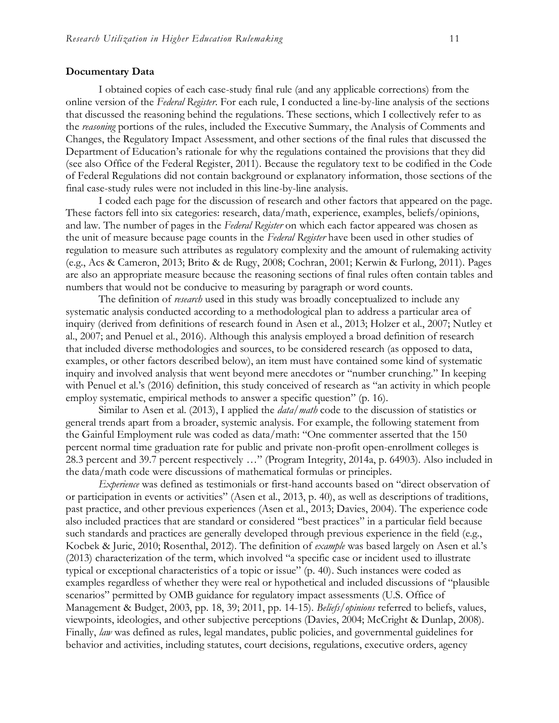#### **Documentary Data**

I obtained copies of each case-study final rule (and any applicable corrections) from the online version of the *Federal Register*. For each rule, I conducted a line-by-line analysis of the sections that discussed the reasoning behind the regulations. These sections, which I collectively refer to as the *reasoning* portions of the rules, included the Executive Summary, the Analysis of Comments and Changes, the Regulatory Impact Assessment, and other sections of the final rules that discussed the Department of Education's rationale for why the regulations contained the provisions that they did (see also Office of the Federal Register, 2011). Because the regulatory text to be codified in the Code of Federal Regulations did not contain background or explanatory information, those sections of the final case-study rules were not included in this line-by-line analysis.

I coded each page for the discussion of research and other factors that appeared on the page. These factors fell into six categories: research, data/math, experience, examples, beliefs/opinions, and law. The number of pages in the *Federal Register* on which each factor appeared was chosen as the unit of measure because page counts in the *Federal Register* have been used in other studies of regulation to measure such attributes as regulatory complexity and the amount of rulemaking activity (e.g., Acs & Cameron, 2013; Brito & de Rugy, 2008; Cochran, 2001; Kerwin & Furlong, 2011). Pages are also an appropriate measure because the reasoning sections of final rules often contain tables and numbers that would not be conducive to measuring by paragraph or word counts.

The definition of *research* used in this study was broadly conceptualized to include any systematic analysis conducted according to a methodological plan to address a particular area of inquiry (derived from definitions of research found in Asen et al., 2013; Holzer et al., 2007; Nutley et al., 2007; and Penuel et al., 2016). Although this analysis employed a broad definition of research that included diverse methodologies and sources, to be considered research (as opposed to data, examples, or other factors described below), an item must have contained some kind of systematic inquiry and involved analysis that went beyond mere anecdotes or "number crunching." In keeping with Penuel et al.'s (2016) definition, this study conceived of research as "an activity in which people employ systematic, empirical methods to answer a specific question" (p. 16).

Similar to Asen et al. (2013), I applied the *data/math* code to the discussion of statistics or general trends apart from a broader, systemic analysis. For example, the following statement from the Gainful Employment rule was coded as data/math: "One commenter asserted that the 150 percent normal time graduation rate for public and private non-profit open-enrollment colleges is 28.3 percent and 39.7 percent respectively …" (Program Integrity, 2014a, p. 64903). Also included in the data/math code were discussions of mathematical formulas or principles.

*Experience* was defined as testimonials or first-hand accounts based on "direct observation of or participation in events or activities" (Asen et al., 2013, p. 40), as well as descriptions of traditions, past practice, and other previous experiences (Asen et al., 2013; Davies, 2004). The experience code also included practices that are standard or considered "best practices" in a particular field because such standards and practices are generally developed through previous experience in the field (e.g., Kocbek & Juric, 2010; Rosenthal, 2012). The definition of *example* was based largely on Asen et al.'s (2013) characterization of the term, which involved "a specific case or incident used to illustrate typical or exceptional characteristics of a topic or issue" (p. 40). Such instances were coded as examples regardless of whether they were real or hypothetical and included discussions of "plausible scenarios" permitted by OMB guidance for regulatory impact assessments (U.S. Office of Management & Budget, 2003, pp. 18, 39; 2011, pp. 14-15). *Beliefs/opinions* referred to beliefs, values, viewpoints, ideologies, and other subjective perceptions (Davies, 2004; McCright & Dunlap, 2008). Finally, *law* was defined as rules, legal mandates, public policies, and governmental guidelines for behavior and activities, including statutes, court decisions, regulations, executive orders, agency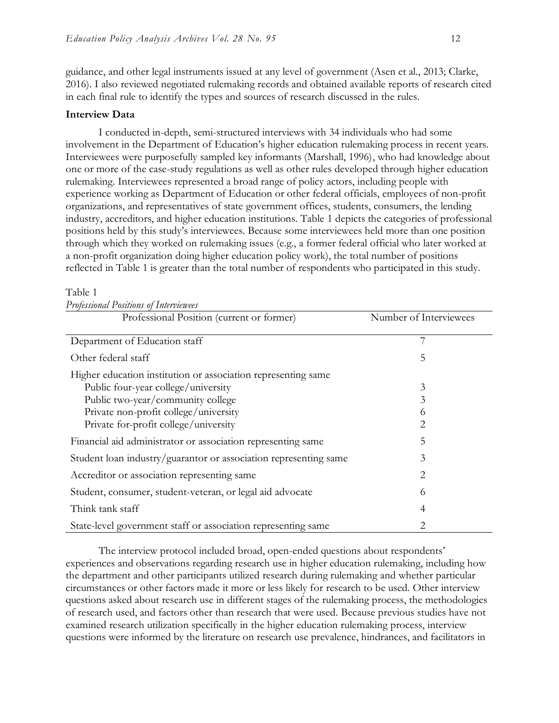guidance, and other legal instruments issued at any level of government (Asen et al., 2013; Clarke, 2016). I also reviewed negotiated rulemaking records and obtained available reports of research cited in each final rule to identify the types and sources of research discussed in the rules.

#### **Interview Data**

I conducted in-depth, semi-structured interviews with 34 individuals who had some involvement in the Department of Education's higher education rulemaking process in recent years. Interviewees were purposefully sampled key informants (Marshall, 1996), who had knowledge about one or more of the case-study regulations as well as other rules developed through higher education rulemaking. Interviewees represented a broad range of policy actors, including people with experience working as Department of Education or other federal officials, employees of non-profit organizations, and representatives of state government offices, students, consumers, the lending industry, accreditors, and higher education institutions. Table 1 depicts the categories of professional positions held by this study's interviewees. Because some interviewees held more than one position through which they worked on rulemaking issues (e.g., a former federal official who later worked at a non-profit organization doing higher education policy work), the total number of positions reflected in Table 1 is greater than the total number of respondents who participated in this study.

#### Table 1

| Professional Positions of Interviewees                           |                        |  |  |  |  |  |
|------------------------------------------------------------------|------------------------|--|--|--|--|--|
| Professional Position (current or former)                        | Number of Interviewees |  |  |  |  |  |
|                                                                  |                        |  |  |  |  |  |
| Department of Education staff                                    | 7                      |  |  |  |  |  |
| Other federal staff                                              | 5                      |  |  |  |  |  |
| Higher education institution or association representing same    |                        |  |  |  |  |  |
| Public four-year college/university                              | 3                      |  |  |  |  |  |
| Public two-year/community college                                | 3                      |  |  |  |  |  |
| Private non-profit college/university                            | 6                      |  |  |  |  |  |
| Private for-profit college/university                            | 2                      |  |  |  |  |  |
| Financial aid administrator or association representing same     | 5                      |  |  |  |  |  |
| Student loan industry/guarantor or association representing same | 3                      |  |  |  |  |  |
| Accreditor or association representing same                      | 2                      |  |  |  |  |  |
| Student, consumer, student-veteran, or legal aid advocate        | 6                      |  |  |  |  |  |
| Think tank staff                                                 | 4                      |  |  |  |  |  |
| State-level government staff or association representing same    | 2                      |  |  |  |  |  |

The interview protocol included broad, open-ended questions about respondents' experiences and observations regarding research use in higher education rulemaking, including how the department and other participants utilized research during rulemaking and whether particular circumstances or other factors made it more or less likely for research to be used. Other interview questions asked about research use in different stages of the rulemaking process, the methodologies of research used, and factors other than research that were used. Because previous studies have not examined research utilization specifically in the higher education rulemaking process, interview questions were informed by the literature on research use prevalence, hindrances, and facilitators in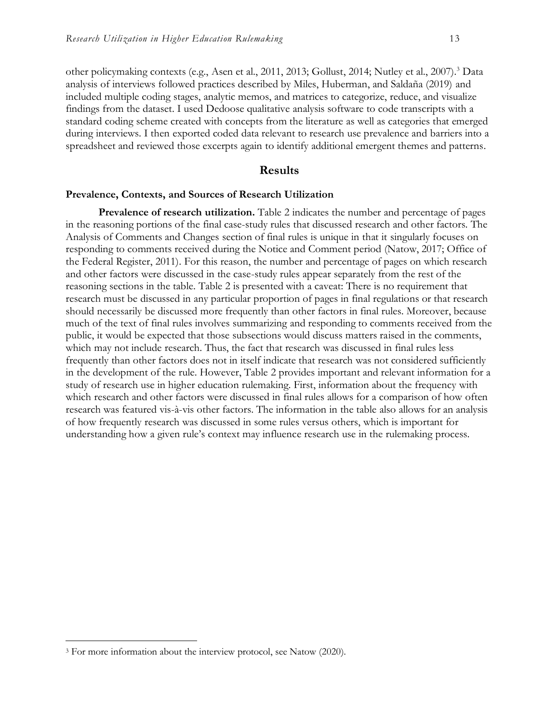other policymaking contexts (e.g., Asen et al., 2011, 2013; Gollust, 2014; Nutley et al., 2007).<sup>3</sup> Data analysis of interviews followed practices described by Miles, Huberman, and Saldaña (2019) and included multiple coding stages, analytic memos, and matrices to categorize, reduce, and visualize findings from the dataset. I used Dedoose qualitative analysis software to code transcripts with a standard coding scheme created with concepts from the literature as well as categories that emerged during interviews. I then exported coded data relevant to research use prevalence and barriers into a spreadsheet and reviewed those excerpts again to identify additional emergent themes and patterns.

#### **Results**

#### **Prevalence, Contexts, and Sources of Research Utilization**

**Prevalence of research utilization.** Table 2 indicates the number and percentage of pages in the reasoning portions of the final case-study rules that discussed research and other factors. The Analysis of Comments and Changes section of final rules is unique in that it singularly focuses on responding to comments received during the Notice and Comment period (Natow, 2017; Office of the Federal Register, 2011). For this reason, the number and percentage of pages on which research and other factors were discussed in the case-study rules appear separately from the rest of the reasoning sections in the table. Table 2 is presented with a caveat: There is no requirement that research must be discussed in any particular proportion of pages in final regulations or that research should necessarily be discussed more frequently than other factors in final rules. Moreover, because much of the text of final rules involves summarizing and responding to comments received from the public, it would be expected that those subsections would discuss matters raised in the comments, which may not include research. Thus, the fact that research was discussed in final rules less frequently than other factors does not in itself indicate that research was not considered sufficiently in the development of the rule. However, Table 2 provides important and relevant information for a study of research use in higher education rulemaking. First, information about the frequency with which research and other factors were discussed in final rules allows for a comparison of how often research was featured vis-à-vis other factors. The information in the table also allows for an analysis of how frequently research was discussed in some rules versus others, which is important for understanding how a given rule's context may influence research use in the rulemaking process.

<sup>&</sup>lt;sup>3</sup> For more information about the interview protocol, see Natow (2020).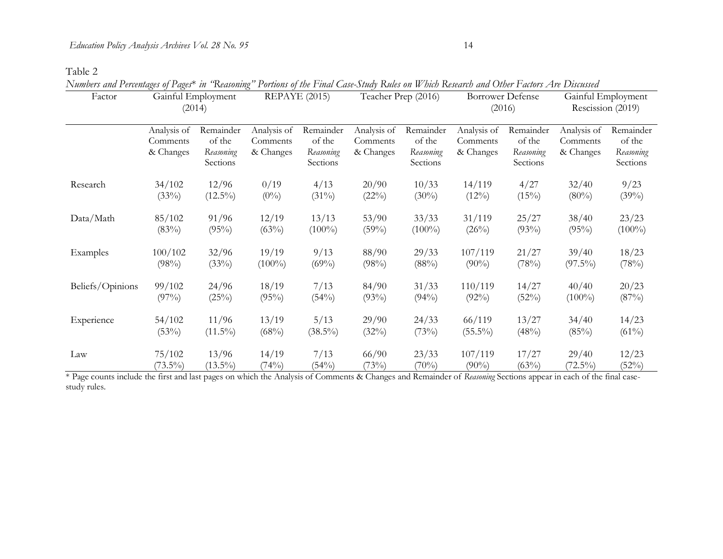Table 2

*Numbers and Percentages of Pages*\* *in "Reasoning" Portions of the Final Case-Study Rules on Which Research and Other Factors Are Discussed*

| Factor           | Gainful Employment<br>(2014)         |                                              | REPAYE (2015)                        |                                              | Teacher Prep (2016)                  |                                              | <b>Borrower Defense</b><br>(2016)    |                                              | Gainful Employment<br>Rescission (2019) |                                              |
|------------------|--------------------------------------|----------------------------------------------|--------------------------------------|----------------------------------------------|--------------------------------------|----------------------------------------------|--------------------------------------|----------------------------------------------|-----------------------------------------|----------------------------------------------|
|                  | Analysis of<br>Comments<br>& Changes | Remainder<br>of the<br>Reasoning<br>Sections | Analysis of<br>Comments<br>& Changes | Remainder<br>of the<br>Reasoning<br>Sections | Analysis of<br>Comments<br>& Changes | Remainder<br>of the<br>Reasoning<br>Sections | Analysis of<br>Comments<br>& Changes | Remainder<br>of the<br>Reasoning<br>Sections | Analysis of<br>Comments<br>& Changes    | Remainder<br>of the<br>Reasoning<br>Sections |
| Research         | 34/102                               | 12/96                                        | 0/19                                 | 4/13                                         | 20/90                                | 10/33                                        | 14/119                               | 4/27                                         | 32/40                                   | 9/23                                         |
|                  | (33%)                                | $(12.5\%)$                                   | $(0\%)$                              | $(31\%)$                                     | (22%)                                | $(30\%)$                                     | $(12\%)$                             | $(15\%)$                                     | $(80\%)$                                | (39%)                                        |
| Data/Math        | 85/102                               | 91/96                                        | 12/19                                | 13/13                                        | 53/90                                | 33/33                                        | 31/119                               | 25/27                                        | 38/40                                   | 23/23                                        |
|                  | (83%)                                | (95%)                                        | (63%)                                | $(100\%)$                                    | (59%)                                | $(100\%)$                                    | (26%)                                | (93%)                                        | (95%)                                   | $(100\%)$                                    |
| Examples         | 100/102                              | 32/96                                        | 19/19                                | 9/13                                         | 88/90                                | 29/33                                        | 107/119                              | 21/27                                        | 39/40                                   | 18/23                                        |
|                  | (98%)                                | (33%)                                        | $(100\%)$                            | $(69\%)$                                     | (98%)                                | (88%)                                        | $(90\%)$                             | (78%)                                        | $(97.5\%)$                              | (78%)                                        |
| Beliefs/Opinions | 99/102                               | 24/96                                        | 18/19                                | 7/13                                         | 84/90                                | 31/33                                        | 110/119                              | 14/27                                        | 40/40                                   | 20/23                                        |
|                  | $(97\%)$                             | (25%)                                        | (95%)                                | (54%)                                        | (93%)                                | $(94\%)$                                     | $(92\%)$                             | (52%)                                        | $(100\%)$                               | (87%)                                        |
| Experience       | 54/102                               | 11/96                                        | 13/19                                | 5/13                                         | 29/90                                | 24/33                                        | 66/119                               | 13/27                                        | 34/40                                   | 14/23                                        |
|                  | (53%)                                | $(11.5\%)$                                   | (68%)                                | $(38.5\%)$                                   | (32%)                                | (73%)                                        | $(55.5\%)$                           | (48%)                                        | (85%)                                   | $(61\%)$                                     |
| Law              | 75/102                               | 13/96                                        | 14/19                                | 7/13                                         | 66/90                                | 23/33                                        | 107/119                              | 17/27                                        | 29/40                                   | 12/23                                        |
|                  | $(73.5\%)$                           | $(13.5\%)$                                   | (74%)                                | (54%)                                        | (73%)                                | (70%)                                        | $(90\%)$                             | (63%)                                        | $(72.5\%)$                              | (52%)                                        |

\* Page counts include the first and last pages on which the Analysis of Comments & Changes and Remainder of *Reasoning* Sections appear in each of the final casestudy rules.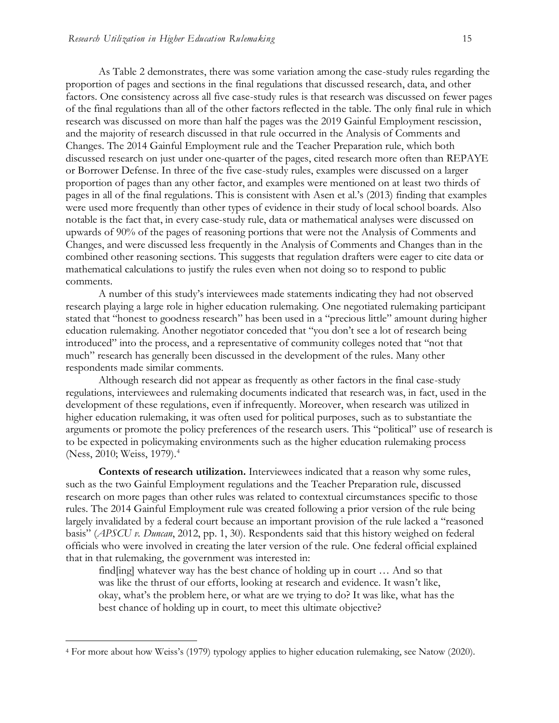As Table 2 demonstrates, there was some variation among the case-study rules regarding the proportion of pages and sections in the final regulations that discussed research, data, and other factors. One consistency across all five case-study rules is that research was discussed on fewer pages of the final regulations than all of the other factors reflected in the table. The only final rule in which research was discussed on more than half the pages was the 2019 Gainful Employment rescission, and the majority of research discussed in that rule occurred in the Analysis of Comments and Changes. The 2014 Gainful Employment rule and the Teacher Preparation rule, which both discussed research on just under one-quarter of the pages, cited research more often than REPAYE or Borrower Defense. In three of the five case-study rules, examples were discussed on a larger proportion of pages than any other factor, and examples were mentioned on at least two thirds of pages in all of the final regulations. This is consistent with Asen et al.'s (2013) finding that examples were used more frequently than other types of evidence in their study of local school boards. Also notable is the fact that, in every case-study rule, data or mathematical analyses were discussed on upwards of 90% of the pages of reasoning portions that were not the Analysis of Comments and Changes, and were discussed less frequently in the Analysis of Comments and Changes than in the combined other reasoning sections. This suggests that regulation drafters were eager to cite data or mathematical calculations to justify the rules even when not doing so to respond to public comments.

A number of this study's interviewees made statements indicating they had not observed research playing a large role in higher education rulemaking. One negotiated rulemaking participant stated that "honest to goodness research" has been used in a "precious little" amount during higher education rulemaking. Another negotiator conceded that "you don't see a lot of research being introduced" into the process, and a representative of community colleges noted that "not that much" research has generally been discussed in the development of the rules. Many other respondents made similar comments.

Although research did not appear as frequently as other factors in the final case-study regulations, interviewees and rulemaking documents indicated that research was, in fact, used in the development of these regulations, even if infrequently. Moreover, when research was utilized in higher education rulemaking, it was often used for political purposes, such as to substantiate the arguments or promote the policy preferences of the research users. This "political" use of research is to be expected in policymaking environments such as the higher education rulemaking process (Ness, 2010; Weiss, 1979).<sup>4</sup>

**Contexts of research utilization.** Interviewees indicated that a reason why some rules, such as the two Gainful Employment regulations and the Teacher Preparation rule, discussed research on more pages than other rules was related to contextual circumstances specific to those rules. The 2014 Gainful Employment rule was created following a prior version of the rule being largely invalidated by a federal court because an important provision of the rule lacked a "reasoned basis" (*APSCU v. Duncan*, 2012, pp. 1, 30). Respondents said that this history weighed on federal officials who were involved in creating the later version of the rule. One federal official explained that in that rulemaking, the government was interested in:

find[ing] whatever way has the best chance of holding up in court … And so that was like the thrust of our efforts, looking at research and evidence. It wasn't like, okay, what's the problem here, or what are we trying to do? It was like, what has the best chance of holding up in court, to meet this ultimate objective?

<sup>4</sup> For more about how Weiss's (1979) typology applies to higher education rulemaking, see Natow (2020).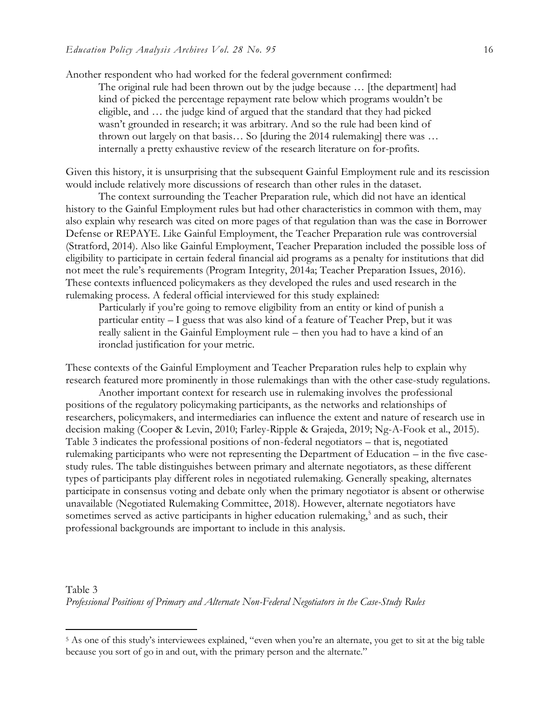Another respondent who had worked for the federal government confirmed:

The original rule had been thrown out by the judge because … [the department] had kind of picked the percentage repayment rate below which programs wouldn't be eligible, and … the judge kind of argued that the standard that they had picked wasn't grounded in research; it was arbitrary. And so the rule had been kind of thrown out largely on that basis… So [during the 2014 rulemaking] there was … internally a pretty exhaustive review of the research literature on for-profits.

Given this history, it is unsurprising that the subsequent Gainful Employment rule and its rescission would include relatively more discussions of research than other rules in the dataset.

The context surrounding the Teacher Preparation rule, which did not have an identical history to the Gainful Employment rules but had other characteristics in common with them, may also explain why research was cited on more pages of that regulation than was the case in Borrower Defense or REPAYE. Like Gainful Employment, the Teacher Preparation rule was controversial (Stratford, 2014). Also like Gainful Employment, Teacher Preparation included the possible loss of eligibility to participate in certain federal financial aid programs as a penalty for institutions that did not meet the rule's requirements (Program Integrity, 2014a; Teacher Preparation Issues, 2016). These contexts influenced policymakers as they developed the rules and used research in the rulemaking process. A federal official interviewed for this study explained:

Particularly if you're going to remove eligibility from an entity or kind of punish a particular entity – I guess that was also kind of a feature of Teacher Prep, but it was really salient in the Gainful Employment rule – then you had to have a kind of an ironclad justification for your metric.

These contexts of the Gainful Employment and Teacher Preparation rules help to explain why research featured more prominently in those rulemakings than with the other case-study regulations.

Another important context for research use in rulemaking involves the professional positions of the regulatory policymaking participants, as the networks and relationships of researchers, policymakers, and intermediaries can influence the extent and nature of research use in decision making (Cooper & Levin, 2010; Farley-Ripple & Grajeda, 2019; Ng-A-Fook et al., 2015). Table 3 indicates the professional positions of non-federal negotiators – that is, negotiated rulemaking participants who were not representing the Department of Education – in the five casestudy rules. The table distinguishes between primary and alternate negotiators, as these different types of participants play different roles in negotiated rulemaking. Generally speaking, alternates participate in consensus voting and debate only when the primary negotiator is absent or otherwise unavailable (Negotiated Rulemaking Committee, 2018). However, alternate negotiators have sometimes served as active participants in higher education rulemaking,<sup>5</sup> and as such, their professional backgrounds are important to include in this analysis.

Table 3 *Professional Positions of Primary and Alternate Non-Federal Negotiators in the Case-Study Rules*

<sup>&</sup>lt;sup>5</sup> As one of this study's interviewees explained, "even when you're an alternate, you get to sit at the big table because you sort of go in and out, with the primary person and the alternate."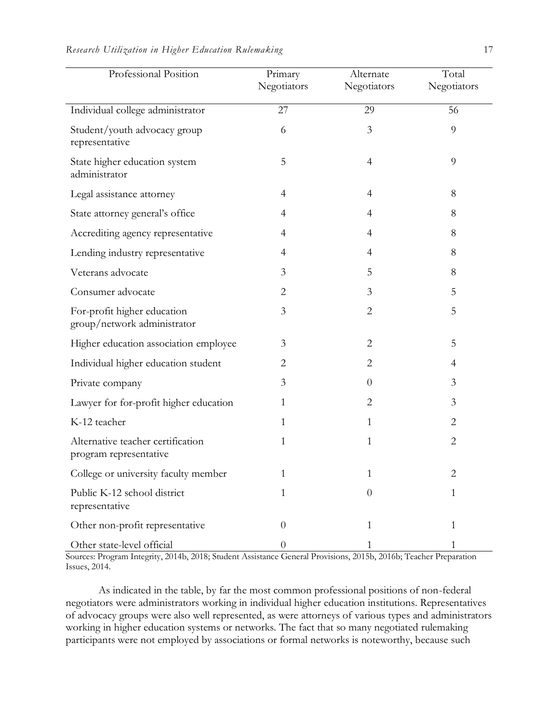|  |  |  |  | Research Utilization in Higher Education Rulemaking |  |  |
|--|--|--|--|-----------------------------------------------------|--|--|
|--|--|--|--|-----------------------------------------------------|--|--|

| Professional Position                                       | Primary<br>Negotiators | Alternate<br>Negotiators | Total<br>Negotiators |
|-------------------------------------------------------------|------------------------|--------------------------|----------------------|
| Individual college administrator                            | 27                     | 29                       | 56                   |
| Student/youth advocacy group<br>representative              | 6                      | 3                        | 9                    |
| State higher education system<br>administrator              | 5                      | $\overline{4}$           | 9                    |
| Legal assistance attorney                                   | $\overline{4}$         | 4                        | 8                    |
| State attorney general's office                             | 4                      | 4                        | 8                    |
| Accrediting agency representative                           | $\overline{4}$         | $\overline{4}$           | 8                    |
| Lending industry representative                             | 4                      | 4                        | 8                    |
| Veterans advocate                                           | 3                      | 5                        | 8                    |
| Consumer advocate                                           | $\overline{2}$         | 3                        | 5                    |
| For-profit higher education<br>group/network administrator  | 3                      | $\overline{2}$           | 5                    |
| Higher education association employee                       | 3                      | 2                        | 5                    |
| Individual higher education student                         | $\overline{2}$         | $\overline{2}$           | $\overline{4}$       |
| Private company                                             | 3                      | $\theta$                 | 3                    |
| Lawyer for for-profit higher education                      | $\mathbf{1}$           | $\overline{2}$           | $\mathfrak{Z}$       |
| K-12 teacher                                                | 1                      | 1                        | $\overline{2}$       |
| Alternative teacher certification<br>program representative | 1                      | 1                        | $\overline{2}$       |
| College or university faculty member                        |                        | 1                        | $\overline{2}$       |
| Public K-12 school district<br>representative               | $\mathbf{1}$           | $\overline{0}$           | $\mathbf{1}$         |
| Other non-profit representative                             | $\theta$               | 1                        | 1                    |
| Other state-level official                                  | $\boldsymbol{0}$       |                          | 1                    |

Sources: Program Integrity, 2014b, 2018; Student Assistance General Provisions, 2015b, 2016b; Teacher Preparation Issues, 2014.

As indicated in the table, by far the most common professional positions of non-federal negotiators were administrators working in individual higher education institutions. Representatives of advocacy groups were also well represented, as were attorneys of various types and administrators working in higher education systems or networks. The fact that so many negotiated rulemaking participants were not employed by associations or formal networks is noteworthy, because such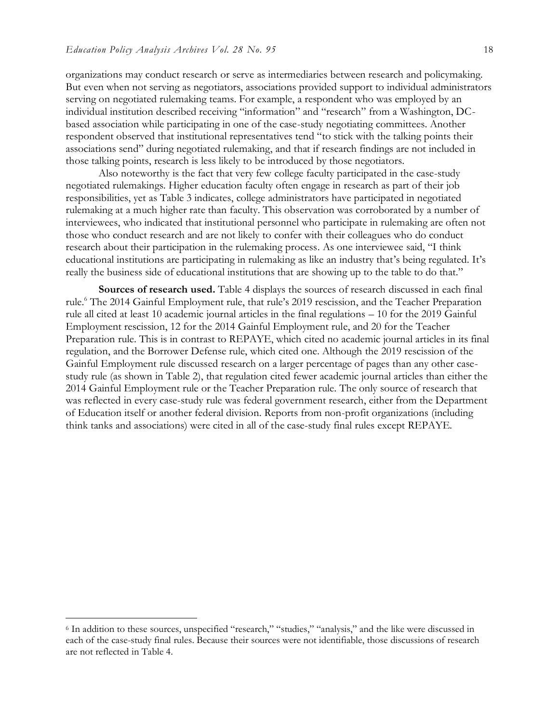organizations may conduct research or serve as intermediaries between research and policymaking. But even when not serving as negotiators, associations provided support to individual administrators serving on negotiated rulemaking teams. For example, a respondent who was employed by an individual institution described receiving "information" and "research" from a Washington, DCbased association while participating in one of the case-study negotiating committees. Another respondent observed that institutional representatives tend "to stick with the talking points their associations send" during negotiated rulemaking, and that if research findings are not included in those talking points, research is less likely to be introduced by those negotiators.

Also noteworthy is the fact that very few college faculty participated in the case-study negotiated rulemakings. Higher education faculty often engage in research as part of their job responsibilities, yet as Table 3 indicates, college administrators have participated in negotiated rulemaking at a much higher rate than faculty. This observation was corroborated by a number of interviewees, who indicated that institutional personnel who participate in rulemaking are often not those who conduct research and are not likely to confer with their colleagues who do conduct research about their participation in the rulemaking process. As one interviewee said, "I think educational institutions are participating in rulemaking as like an industry that's being regulated. It's really the business side of educational institutions that are showing up to the table to do that."

**Sources of research used.** Table 4 displays the sources of research discussed in each final rule.<sup>6</sup> The 2014 Gainful Employment rule, that rule's 2019 rescission, and the Teacher Preparation rule all cited at least 10 academic journal articles in the final regulations – 10 for the 2019 Gainful Employment rescission, 12 for the 2014 Gainful Employment rule, and 20 for the Teacher Preparation rule. This is in contrast to REPAYE, which cited no academic journal articles in its final regulation, and the Borrower Defense rule, which cited one. Although the 2019 rescission of the Gainful Employment rule discussed research on a larger percentage of pages than any other casestudy rule (as shown in Table 2), that regulation cited fewer academic journal articles than either the 2014 Gainful Employment rule or the Teacher Preparation rule. The only source of research that was reflected in every case-study rule was federal government research, either from the Department of Education itself or another federal division. Reports from non-profit organizations (including think tanks and associations) were cited in all of the case-study final rules except REPAYE.

<sup>6</sup> In addition to these sources, unspecified "research," "studies," "analysis," and the like were discussed in each of the case-study final rules. Because their sources were not identifiable, those discussions of research are not reflected in Table 4.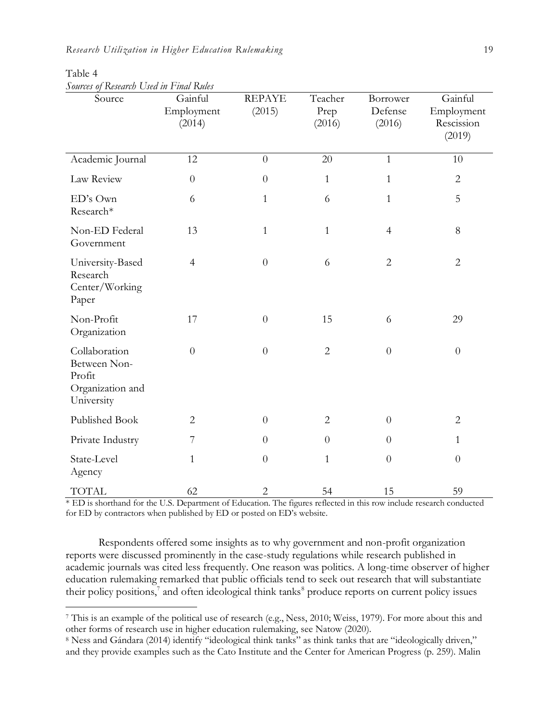| Sources of Research Osea in Linai Ruies<br>Source                         | Gainful<br>Employment<br>(2014) | <b>REPAYE</b><br>(2015) | Teacher<br>Prep<br>(2016) | Borrower<br>Defense<br>(2016) | Gainful<br>Employment<br>Rescission<br>(2019) |
|---------------------------------------------------------------------------|---------------------------------|-------------------------|---------------------------|-------------------------------|-----------------------------------------------|
| Academic Journal                                                          | 12                              | $\overline{0}$          | 20                        | $\mathbf{1}$                  | 10                                            |
| Law Review                                                                | $\overline{0}$                  | $\overline{0}$          | $\mathbf{1}$              | $\mathbf{1}$                  | $\overline{2}$                                |
| ED's Own<br>Research*                                                     | 6                               | $\mathbf{1}$            | 6                         | $\mathbf{1}$                  | 5                                             |
| Non-ED Federal<br>Government                                              | 13                              | $\mathbf{1}$            | $\mathbf{1}$              | $\overline{4}$                | 8                                             |
| University-Based<br>Research<br>Center/Working<br>Paper                   | $\overline{4}$                  | $\theta$                | 6                         | $\overline{2}$                | $\overline{2}$                                |
| Non-Profit<br>Organization                                                | 17                              | $\theta$                | 15                        | 6                             | 29                                            |
| Collaboration<br>Between Non-<br>Profit<br>Organization and<br>University | $\theta$                        | $\theta$                | $\overline{2}$            | $\boldsymbol{0}$              | $\boldsymbol{0}$                              |
| Published Book                                                            | $\overline{2}$                  | $\overline{0}$          | $\overline{2}$            | $\overline{0}$                | $\overline{2}$                                |
| Private Industry                                                          | $\overline{7}$                  | $\theta$                | $\overline{0}$            | $\overline{0}$                | $\mathbf{1}$                                  |
| State-Level<br>Agency                                                     | $\mathbf{1}$                    | $\theta$                | $\mathbf{1}$              | $\boldsymbol{0}$              | $\boldsymbol{0}$                              |
| <b>TOTAL</b>                                                              | 62                              | $\overline{2}$          | 54                        | 15                            | 59                                            |

Table 4 *Sources of Research Used in Final Rules* 

\* ED is shorthand for the U.S. Department of Education. The figures reflected in this row include research conducted for ED by contractors when published by ED or posted on ED's website.

Respondents offered some insights as to why government and non-profit organization reports were discussed prominently in the case-study regulations while research published in academic journals was cited less frequently. One reason was politics. A long-time observer of higher education rulemaking remarked that public officials tend to seek out research that will substantiate their policy positions,<sup>7</sup> and often ideological think tanks<sup>8</sup> produce reports on current policy issues

<sup>7</sup> This is an example of the political use of research (e.g., Ness, 2010; Weiss, 1979). For more about this and other forms of research use in higher education rulemaking, see Natow (2020).

<sup>8</sup> Ness and Gándara (2014) identify "ideological think tanks" as think tanks that are "ideologically driven," and they provide examples such as the Cato Institute and the Center for American Progress (p. 259). Malin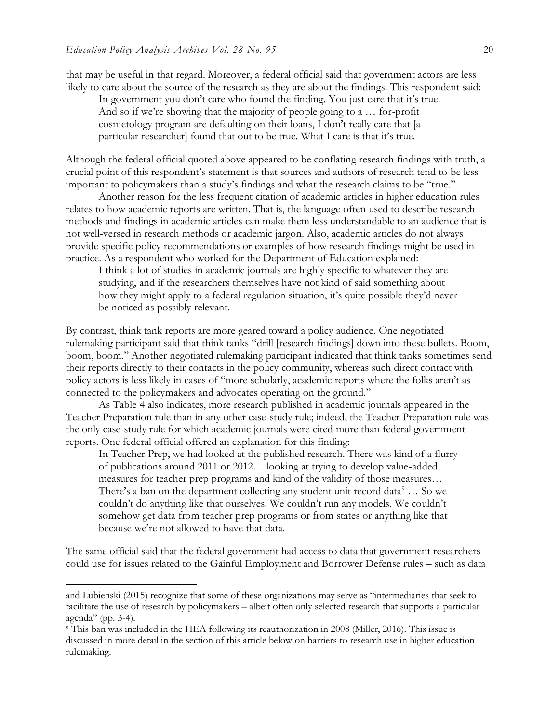that may be useful in that regard. Moreover, a federal official said that government actors are less likely to care about the source of the research as they are about the findings. This respondent said:

In government you don't care who found the finding. You just care that it's true. And so if we're showing that the majority of people going to a … for-profit cosmetology program are defaulting on their loans, I don't really care that [a particular researcher] found that out to be true. What I care is that it's true.

Although the federal official quoted above appeared to be conflating research findings with truth, a crucial point of this respondent's statement is that sources and authors of research tend to be less important to policymakers than a study's findings and what the research claims to be "true."

Another reason for the less frequent citation of academic articles in higher education rules relates to how academic reports are written. That is, the language often used to describe research methods and findings in academic articles can make them less understandable to an audience that is not well-versed in research methods or academic jargon. Also, academic articles do not always provide specific policy recommendations or examples of how research findings might be used in practice. As a respondent who worked for the Department of Education explained:

I think a lot of studies in academic journals are highly specific to whatever they are studying, and if the researchers themselves have not kind of said something about how they might apply to a federal regulation situation, it's quite possible they'd never be noticed as possibly relevant.

By contrast, think tank reports are more geared toward a policy audience. One negotiated rulemaking participant said that think tanks "drill [research findings] down into these bullets. Boom, boom, boom." Another negotiated rulemaking participant indicated that think tanks sometimes send their reports directly to their contacts in the policy community, whereas such direct contact with policy actors is less likely in cases of "more scholarly, academic reports where the folks aren't as connected to the policymakers and advocates operating on the ground."

As Table 4 also indicates, more research published in academic journals appeared in the Teacher Preparation rule than in any other case-study rule; indeed, the Teacher Preparation rule was the only case-study rule for which academic journals were cited more than federal government reports. One federal official offered an explanation for this finding:

In Teacher Prep, we had looked at the published research. There was kind of a flurry of publications around 2011 or 2012… looking at trying to develop value-added measures for teacher prep programs and kind of the validity of those measures… There's a ban on the department collecting any student unit record data $9 \ldots$  So we couldn't do anything like that ourselves. We couldn't run any models. We couldn't somehow get data from teacher prep programs or from states or anything like that because we're not allowed to have that data.

The same official said that the federal government had access to data that government researchers could use for issues related to the Gainful Employment and Borrower Defense rules – such as data

and Lubienski (2015) recognize that some of these organizations may serve as "intermediaries that seek to facilitate the use of research by policymakers – albeit often only selected research that supports a particular agenda" (pp. 3-4).

<sup>9</sup> This ban was included in the HEA following its reauthorization in 2008 (Miller, 2016). This issue is discussed in more detail in the section of this article below on barriers to research use in higher education rulemaking.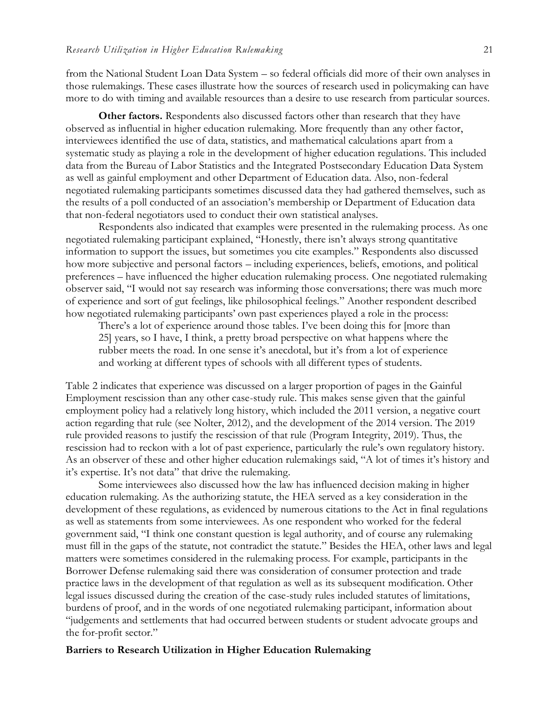from the National Student Loan Data System – so federal officials did more of their own analyses in those rulemakings. These cases illustrate how the sources of research used in policymaking can have more to do with timing and available resources than a desire to use research from particular sources.

**Other factors.** Respondents also discussed factors other than research that they have observed as influential in higher education rulemaking. More frequently than any other factor, interviewees identified the use of data, statistics, and mathematical calculations apart from a systematic study as playing a role in the development of higher education regulations. This included data from the Bureau of Labor Statistics and the Integrated Postsecondary Education Data System as well as gainful employment and other Department of Education data. Also, non-federal negotiated rulemaking participants sometimes discussed data they had gathered themselves, such as the results of a poll conducted of an association's membership or Department of Education data that non-federal negotiators used to conduct their own statistical analyses.

Respondents also indicated that examples were presented in the rulemaking process. As one negotiated rulemaking participant explained, "Honestly, there isn't always strong quantitative information to support the issues, but sometimes you cite examples." Respondents also discussed how more subjective and personal factors – including experiences, beliefs, emotions, and political preferences – have influenced the higher education rulemaking process. One negotiated rulemaking observer said, "I would not say research was informing those conversations; there was much more of experience and sort of gut feelings, like philosophical feelings." Another respondent described how negotiated rulemaking participants' own past experiences played a role in the process:

There's a lot of experience around those tables. I've been doing this for [more than 25] years, so I have, I think, a pretty broad perspective on what happens where the rubber meets the road. In one sense it's anecdotal, but it's from a lot of experience and working at different types of schools with all different types of students.

Table 2 indicates that experience was discussed on a larger proportion of pages in the Gainful Employment rescission than any other case-study rule. This makes sense given that the gainful employment policy had a relatively long history, which included the 2011 version, a negative court action regarding that rule (see Nolter, 2012), and the development of the 2014 version. The 2019 rule provided reasons to justify the rescission of that rule (Program Integrity, 2019). Thus, the rescission had to reckon with a lot of past experience, particularly the rule's own regulatory history. As an observer of these and other higher education rulemakings said, "A lot of times it's history and it's expertise. It's not data" that drive the rulemaking.

Some interviewees also discussed how the law has influenced decision making in higher education rulemaking. As the authorizing statute, the HEA served as a key consideration in the development of these regulations, as evidenced by numerous citations to the Act in final regulations as well as statements from some interviewees. As one respondent who worked for the federal government said, "I think one constant question is legal authority, and of course any rulemaking must fill in the gaps of the statute, not contradict the statute." Besides the HEA, other laws and legal matters were sometimes considered in the rulemaking process. For example, participants in the Borrower Defense rulemaking said there was consideration of consumer protection and trade practice laws in the development of that regulation as well as its subsequent modification. Other legal issues discussed during the creation of the case-study rules included statutes of limitations, burdens of proof, and in the words of one negotiated rulemaking participant, information about "judgements and settlements that had occurred between students or student advocate groups and the for-profit sector."

#### **Barriers to Research Utilization in Higher Education Rulemaking**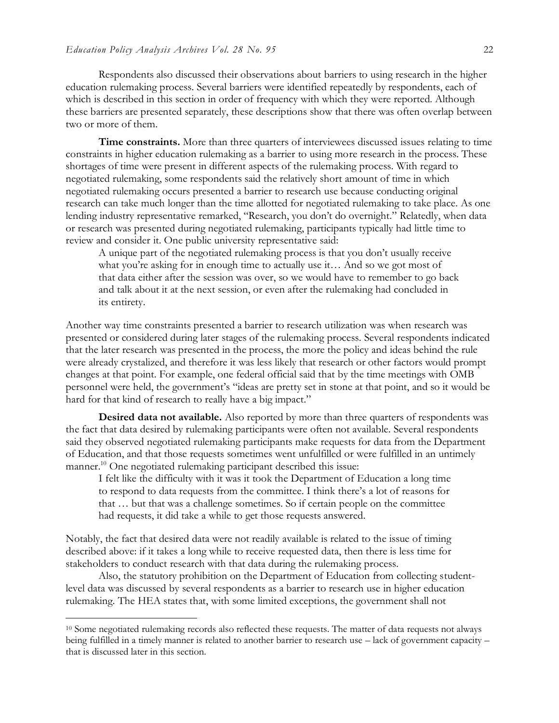Respondents also discussed their observations about barriers to using research in the higher education rulemaking process. Several barriers were identified repeatedly by respondents, each of which is described in this section in order of frequency with which they were reported. Although these barriers are presented separately, these descriptions show that there was often overlap between two or more of them.

**Time constraints.** More than three quarters of interviewees discussed issues relating to time constraints in higher education rulemaking as a barrier to using more research in the process. These shortages of time were present in different aspects of the rulemaking process. With regard to negotiated rulemaking, some respondents said the relatively short amount of time in which negotiated rulemaking occurs presented a barrier to research use because conducting original research can take much longer than the time allotted for negotiated rulemaking to take place. As one lending industry representative remarked, "Research, you don't do overnight." Relatedly, when data or research was presented during negotiated rulemaking, participants typically had little time to review and consider it. One public university representative said:

A unique part of the negotiated rulemaking process is that you don't usually receive what you're asking for in enough time to actually use it... And so we got most of that data either after the session was over, so we would have to remember to go back and talk about it at the next session, or even after the rulemaking had concluded in its entirety.

Another way time constraints presented a barrier to research utilization was when research was presented or considered during later stages of the rulemaking process. Several respondents indicated that the later research was presented in the process, the more the policy and ideas behind the rule were already crystalized, and therefore it was less likely that research or other factors would prompt changes at that point. For example, one federal official said that by the time meetings with OMB personnel were held, the government's "ideas are pretty set in stone at that point, and so it would be hard for that kind of research to really have a big impact."

**Desired data not available.** Also reported by more than three quarters of respondents was the fact that data desired by rulemaking participants were often not available. Several respondents said they observed negotiated rulemaking participants make requests for data from the Department of Education, and that those requests sometimes went unfulfilled or were fulfilled in an untimely manner.<sup>10</sup> One negotiated rulemaking participant described this issue:

I felt like the difficulty with it was it took the Department of Education a long time to respond to data requests from the committee. I think there's a lot of reasons for that … but that was a challenge sometimes. So if certain people on the committee had requests, it did take a while to get those requests answered.

Notably, the fact that desired data were not readily available is related to the issue of timing described above: if it takes a long while to receive requested data, then there is less time for stakeholders to conduct research with that data during the rulemaking process.

Also, the statutory prohibition on the Department of Education from collecting studentlevel data was discussed by several respondents as a barrier to research use in higher education rulemaking. The HEA states that, with some limited exceptions, the government shall not

<sup>10</sup> Some negotiated rulemaking records also reflected these requests. The matter of data requests not always being fulfilled in a timely manner is related to another barrier to research use – lack of government capacity – that is discussed later in this section.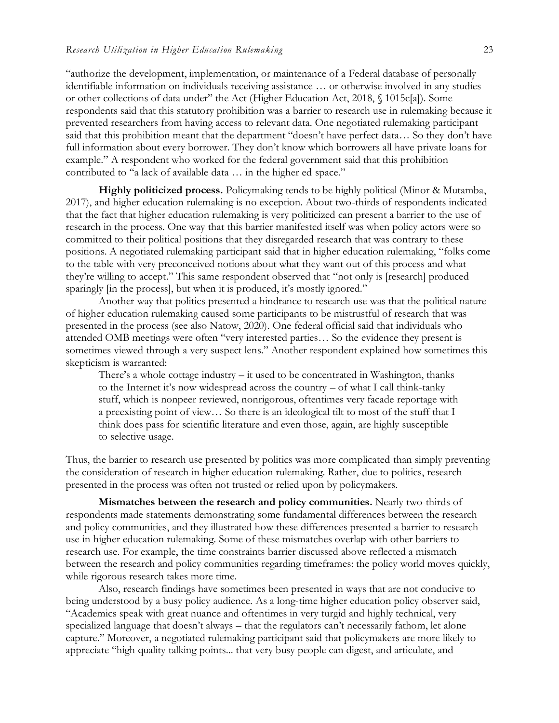"authorize the development, implementation, or maintenance of a Federal database of personally identifiable information on individuals receiving assistance … or otherwise involved in any studies or other collections of data under" the Act (Higher Education Act, 2018, § 1015c[a]). Some respondents said that this statutory prohibition was a barrier to research use in rulemaking because it prevented researchers from having access to relevant data. One negotiated rulemaking participant said that this prohibition meant that the department "doesn't have perfect data… So they don't have full information about every borrower. They don't know which borrowers all have private loans for example." A respondent who worked for the federal government said that this prohibition contributed to "a lack of available data … in the higher ed space."

**Highly politicized process.** Policymaking tends to be highly political (Minor & Mutamba, 2017), and higher education rulemaking is no exception. About two-thirds of respondents indicated that the fact that higher education rulemaking is very politicized can present a barrier to the use of research in the process. One way that this barrier manifested itself was when policy actors were so committed to their political positions that they disregarded research that was contrary to these positions. A negotiated rulemaking participant said that in higher education rulemaking, "folks come to the table with very preconceived notions about what they want out of this process and what they're willing to accept." This same respondent observed that "not only is [research] produced sparingly [in the process], but when it is produced, it's mostly ignored."

Another way that politics presented a hindrance to research use was that the political nature of higher education rulemaking caused some participants to be mistrustful of research that was presented in the process (see also Natow, 2020). One federal official said that individuals who attended OMB meetings were often "very interested parties… So the evidence they present is sometimes viewed through a very suspect lens." Another respondent explained how sometimes this skepticism is warranted:

There's a whole cottage industry – it used to be concentrated in Washington, thanks to the Internet it's now widespread across the country – of what I call think-tanky stuff, which is nonpeer reviewed, nonrigorous, oftentimes very facade reportage with a preexisting point of view… So there is an ideological tilt to most of the stuff that I think does pass for scientific literature and even those, again, are highly susceptible to selective usage.

Thus, the barrier to research use presented by politics was more complicated than simply preventing the consideration of research in higher education rulemaking. Rather, due to politics, research presented in the process was often not trusted or relied upon by policymakers.

**Mismatches between the research and policy communities.** Nearly two-thirds of respondents made statements demonstrating some fundamental differences between the research and policy communities, and they illustrated how these differences presented a barrier to research use in higher education rulemaking. Some of these mismatches overlap with other barriers to research use. For example, the time constraints barrier discussed above reflected a mismatch between the research and policy communities regarding timeframes: the policy world moves quickly, while rigorous research takes more time.

Also, research findings have sometimes been presented in ways that are not conducive to being understood by a busy policy audience. As a long-time higher education policy observer said, "Academics speak with great nuance and oftentimes in very turgid and highly technical, very specialized language that doesn't always – that the regulators can't necessarily fathom, let alone capture." Moreover, a negotiated rulemaking participant said that policymakers are more likely to appreciate "high quality talking points... that very busy people can digest, and articulate, and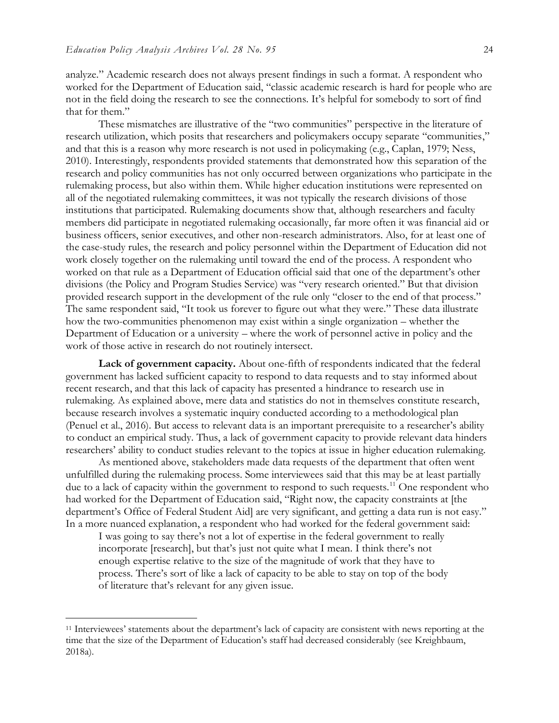analyze." Academic research does not always present findings in such a format. A respondent who worked for the Department of Education said, "classic academic research is hard for people who are not in the field doing the research to see the connections. It's helpful for somebody to sort of find that for them."

These mismatches are illustrative of the "two communities" perspective in the literature of research utilization, which posits that researchers and policymakers occupy separate "communities," and that this is a reason why more research is not used in policymaking (e.g., Caplan, 1979; Ness, 2010). Interestingly, respondents provided statements that demonstrated how this separation of the research and policy communities has not only occurred between organizations who participate in the rulemaking process, but also within them. While higher education institutions were represented on all of the negotiated rulemaking committees, it was not typically the research divisions of those institutions that participated. Rulemaking documents show that, although researchers and faculty members did participate in negotiated rulemaking occasionally, far more often it was financial aid or business officers, senior executives, and other non-research administrators. Also, for at least one of the case-study rules, the research and policy personnel within the Department of Education did not work closely together on the rulemaking until toward the end of the process. A respondent who worked on that rule as a Department of Education official said that one of the department's other divisions (the Policy and Program Studies Service) was "very research oriented." But that division provided research support in the development of the rule only "closer to the end of that process." The same respondent said, "It took us forever to figure out what they were." These data illustrate how the two-communities phenomenon may exist within a single organization – whether the Department of Education or a university – where the work of personnel active in policy and the work of those active in research do not routinely intersect.

**Lack of government capacity.** About one-fifth of respondents indicated that the federal government has lacked sufficient capacity to respond to data requests and to stay informed about recent research, and that this lack of capacity has presented a hindrance to research use in rulemaking. As explained above, mere data and statistics do not in themselves constitute research, because research involves a systematic inquiry conducted according to a methodological plan (Penuel et al., 2016). But access to relevant data is an important prerequisite to a researcher's ability to conduct an empirical study. Thus, a lack of government capacity to provide relevant data hinders researchers' ability to conduct studies relevant to the topics at issue in higher education rulemaking.

As mentioned above, stakeholders made data requests of the department that often went unfulfilled during the rulemaking process. Some interviewees said that this may be at least partially due to a lack of capacity within the government to respond to such requests.<sup>11</sup> One respondent who had worked for the Department of Education said, "Right now, the capacity constraints at [the department's Office of Federal Student Aid] are very significant, and getting a data run is not easy." In a more nuanced explanation, a respondent who had worked for the federal government said:

I was going to say there's not a lot of expertise in the federal government to really incorporate [research], but that's just not quite what I mean. I think there's not enough expertise relative to the size of the magnitude of work that they have to process. There's sort of like a lack of capacity to be able to stay on top of the body of literature that's relevant for any given issue.

<sup>11</sup> Interviewees' statements about the department's lack of capacity are consistent with news reporting at the time that the size of the Department of Education's staff had decreased considerably (see Kreighbaum, 2018a).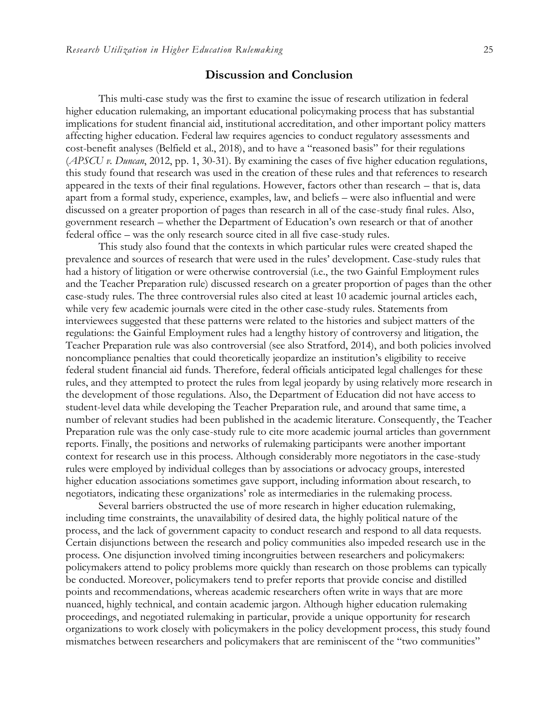### **Discussion and Conclusion**

This multi-case study was the first to examine the issue of research utilization in federal higher education rulemaking, an important educational policymaking process that has substantial implications for student financial aid, institutional accreditation, and other important policy matters affecting higher education. Federal law requires agencies to conduct regulatory assessments and cost-benefit analyses (Belfield et al., 2018), and to have a "reasoned basis" for their regulations (*APSCU v. Duncan*, 2012, pp. 1, 30-31). By examining the cases of five higher education regulations, this study found that research was used in the creation of these rules and that references to research appeared in the texts of their final regulations. However, factors other than research – that is, data apart from a formal study, experience, examples, law, and beliefs – were also influential and were discussed on a greater proportion of pages than research in all of the case-study final rules. Also, government research – whether the Department of Education's own research or that of another federal office – was the only research source cited in all five case-study rules.

This study also found that the contexts in which particular rules were created shaped the prevalence and sources of research that were used in the rules' development. Case-study rules that had a history of litigation or were otherwise controversial (i.e., the two Gainful Employment rules and the Teacher Preparation rule) discussed research on a greater proportion of pages than the other case-study rules. The three controversial rules also cited at least 10 academic journal articles each, while very few academic journals were cited in the other case-study rules. Statements from interviewees suggested that these patterns were related to the histories and subject matters of the regulations: the Gainful Employment rules had a lengthy history of controversy and litigation, the Teacher Preparation rule was also controversial (see also Stratford, 2014), and both policies involved noncompliance penalties that could theoretically jeopardize an institution's eligibility to receive federal student financial aid funds. Therefore, federal officials anticipated legal challenges for these rules, and they attempted to protect the rules from legal jeopardy by using relatively more research in the development of those regulations. Also, the Department of Education did not have access to student-level data while developing the Teacher Preparation rule, and around that same time, a number of relevant studies had been published in the academic literature. Consequently, the Teacher Preparation rule was the only case-study rule to cite more academic journal articles than government reports. Finally, the positions and networks of rulemaking participants were another important context for research use in this process. Although considerably more negotiators in the case-study rules were employed by individual colleges than by associations or advocacy groups, interested higher education associations sometimes gave support, including information about research, to negotiators, indicating these organizations' role as intermediaries in the rulemaking process.

Several barriers obstructed the use of more research in higher education rulemaking, including time constraints, the unavailability of desired data, the highly political nature of the process, and the lack of government capacity to conduct research and respond to all data requests. Certain disjunctions between the research and policy communities also impeded research use in the process. One disjunction involved timing incongruities between researchers and policymakers: policymakers attend to policy problems more quickly than research on those problems can typically be conducted. Moreover, policymakers tend to prefer reports that provide concise and distilled points and recommendations, whereas academic researchers often write in ways that are more nuanced, highly technical, and contain academic jargon. Although higher education rulemaking proceedings, and negotiated rulemaking in particular, provide a unique opportunity for research organizations to work closely with policymakers in the policy development process, this study found mismatches between researchers and policymakers that are reminiscent of the "two communities"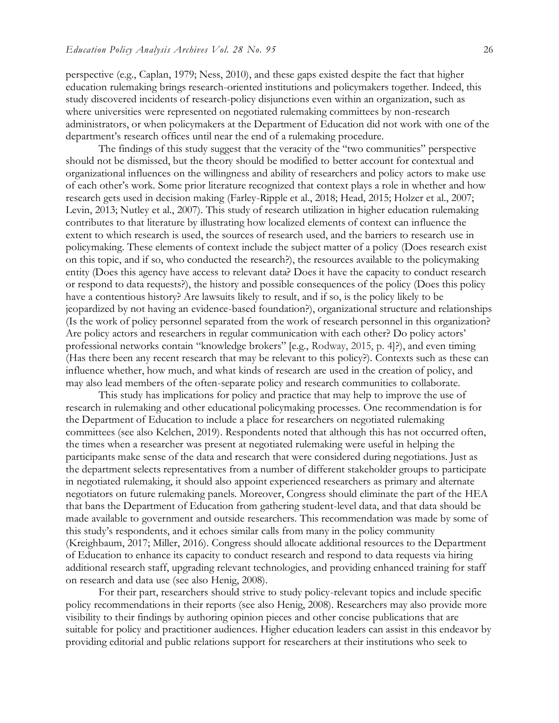perspective (e.g., Caplan, 1979; Ness, 2010), and these gaps existed despite the fact that higher education rulemaking brings research-oriented institutions and policymakers together. Indeed, this study discovered incidents of research-policy disjunctions even within an organization, such as where universities were represented on negotiated rulemaking committees by non-research administrators, or when policymakers at the Department of Education did not work with one of the department's research offices until near the end of a rulemaking procedure.

The findings of this study suggest that the veracity of the "two communities" perspective should not be dismissed, but the theory should be modified to better account for contextual and organizational influences on the willingness and ability of researchers and policy actors to make use of each other's work. Some prior literature recognized that context plays a role in whether and how research gets used in decision making (Farley-Ripple et al., 2018; Head, 2015; Holzer et al., 2007; Levin, 2013; Nutley et al., 2007). This study of research utilization in higher education rulemaking contributes to that literature by illustrating how localized elements of context can influence the extent to which research is used, the sources of research used, and the barriers to research use in policymaking. These elements of context include the subject matter of a policy (Does research exist on this topic, and if so, who conducted the research?), the resources available to the policymaking entity (Does this agency have access to relevant data? Does it have the capacity to conduct research or respond to data requests?), the history and possible consequences of the policy (Does this policy have a contentious history? Are lawsuits likely to result, and if so, is the policy likely to be jeopardized by not having an evidence-based foundation?), organizational structure and relationships (Is the work of policy personnel separated from the work of research personnel in this organization? Are policy actors and researchers in regular communication with each other? Do policy actors' professional networks contain "knowledge brokers" [e.g., Rodway, 2015, p. 4]?), and even timing (Has there been any recent research that may be relevant to this policy?). Contexts such as these can influence whether, how much, and what kinds of research are used in the creation of policy, and may also lead members of the often-separate policy and research communities to collaborate.

This study has implications for policy and practice that may help to improve the use of research in rulemaking and other educational policymaking processes. One recommendation is for the Department of Education to include a place for researchers on negotiated rulemaking committees (see also Kelchen, 2019). Respondents noted that although this has not occurred often, the times when a researcher was present at negotiated rulemaking were useful in helping the participants make sense of the data and research that were considered during negotiations. Just as the department selects representatives from a number of different stakeholder groups to participate in negotiated rulemaking, it should also appoint experienced researchers as primary and alternate negotiators on future rulemaking panels. Moreover, Congress should eliminate the part of the HEA that bans the Department of Education from gathering student-level data, and that data should be made available to government and outside researchers. This recommendation was made by some of this study's respondents, and it echoes similar calls from many in the policy community (Kreighbaum, 2017; Miller, 2016). Congress should allocate additional resources to the Department of Education to enhance its capacity to conduct research and respond to data requests via hiring additional research staff, upgrading relevant technologies, and providing enhanced training for staff on research and data use (see also Henig, 2008).

For their part, researchers should strive to study policy-relevant topics and include specific policy recommendations in their reports (see also Henig, 2008). Researchers may also provide more visibility to their findings by authoring opinion pieces and other concise publications that are suitable for policy and practitioner audiences. Higher education leaders can assist in this endeavor by providing editorial and public relations support for researchers at their institutions who seek to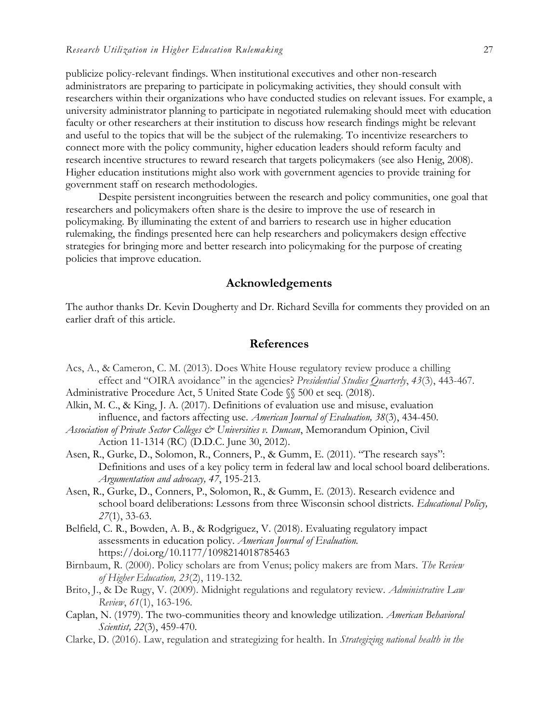publicize policy-relevant findings. When institutional executives and other non-research administrators are preparing to participate in policymaking activities, they should consult with researchers within their organizations who have conducted studies on relevant issues. For example, a university administrator planning to participate in negotiated rulemaking should meet with education faculty or other researchers at their institution to discuss how research findings might be relevant and useful to the topics that will be the subject of the rulemaking. To incentivize researchers to connect more with the policy community, higher education leaders should reform faculty and research incentive structures to reward research that targets policymakers (see also Henig, 2008). Higher education institutions might also work with government agencies to provide training for government staff on research methodologies.

Despite persistent incongruities between the research and policy communities, one goal that researchers and policymakers often share is the desire to improve the use of research in policymaking. By illuminating the extent of and barriers to research use in higher education rulemaking, the findings presented here can help researchers and policymakers design effective strategies for bringing more and better research into policymaking for the purpose of creating policies that improve education.

# **Acknowledgements**

The author thanks Dr. Kevin Dougherty and Dr. Richard Sevilla for comments they provided on an earlier draft of this article.

# **References**

- Acs, A., & Cameron, C. M. (2013). Does White House regulatory review produce a chilling effect and "OIRA avoidance" in the agencies? *Presidential Studies Quarterly*, *43*(3), 443-467.
- Administrative Procedure Act, 5 United State Code §§ 500 et seq. (2018).
- Alkin, M. C., & King, J. A. (2017). Definitions of evaluation use and misuse, evaluation influence, and factors affecting use. *American Journal of Evaluation, 38*(3), 434-450.
- *Association of Private Sector Colleges & Universities v. Duncan*, Memorandum Opinion, Civil Action 11-1314 (RC) (D.D.C. June 30, 2012).
- Asen, R., Gurke, D., Solomon, R., Conners, P., & Gumm, E. (2011). "The research says": Definitions and uses of a key policy term in federal law and local school board deliberations. *Argumentation and advocacy, 47*, 195-213.
- Asen, R., Gurke, D., Conners, P., Solomon, R., & Gumm, E. (2013). Research evidence and school board deliberations: Lessons from three Wisconsin school districts. *Educational Policy, 27*(1), 33-63.
- Belfield, C. R., Bowden, A. B., & Rodgriguez, V. (2018). Evaluating regulatory impact assessments in education policy. *American Journal of Evaluation.*  https://doi.org/10.1177/1098214018785463
- Birnbaum, R. (2000). Policy scholars are from Venus; policy makers are from Mars. *The Review of Higher Education, 23*(2), 119-132.
- Brito, J., & De Rugy, V. (2009). Midnight regulations and regulatory review. *Administrative Law Review*, *61*(1), 163-196.
- Caplan, N. (1979). The two-communities theory and knowledge utilization. *American Behavioral Scientist, 22*(3), 459-470.
- Clarke, D. (2016). Law, regulation and strategizing for health. In *Strategizing national health in the*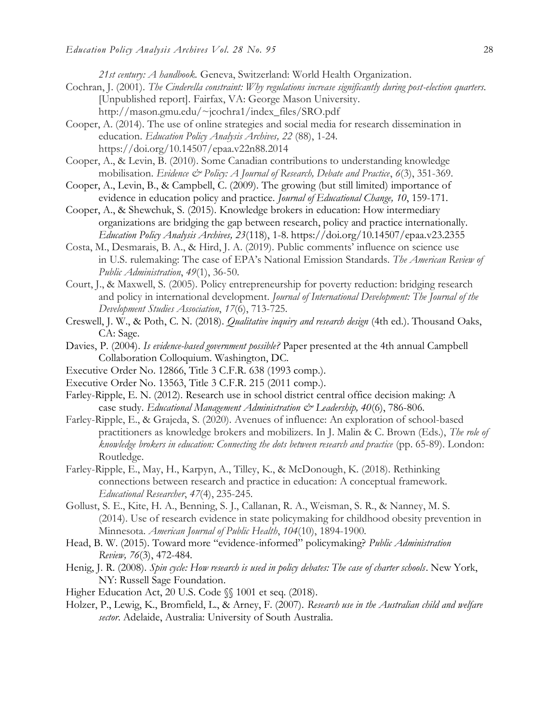*21st century: A handbook.* Geneva, Switzerland: World Health Organization.

- Cochran, J. (2001). *The Cinderella constraint: Why regulations increase significantly during post-election quarters*. [Unpublished report]. Fairfax, VA: George Mason University. http://mason.gmu.edu/~jcochra1/index\_files/SRO.pdf
- Cooper, A. (2014). The use of online strategies and social media for research dissemination in education. *Education Policy Analysis Archives, 22* (88), 1-24. https://doi.org/10.14507/epaa.v22n88.2014
- Cooper, A., & Levin, B. (2010). Some Canadian contributions to understanding knowledge mobilisation. *Evidence & Policy: A Journal of Research, Debate and Practice*, *6*(3), 351-369.
- Cooper, A., Levin, B., & Campbell, C. (2009). The growing (but still limited) importance of evidence in education policy and practice. *Journal of Educational Change, 10*, 159-171.
- Cooper, A., & Shewchuk, S. (2015). Knowledge brokers in education: How intermediary organizations are bridging the gap between research, policy and practice internationally. *Education Policy Analysis Archives, 23*(118), 1-8. https://doi.org/10.14507/epaa.v23.2355
- Costa, M., Desmarais, B. A., & Hird, J. A. (2019). Public comments' influence on science use in U.S. rulemaking: The case of EPA's National Emission Standards. *The American Review of Public Administration*, *49*(1), 36-50.
- Court, J., & Maxwell, S. (2005). Policy entrepreneurship for poverty reduction: bridging research and policy in international development. *Journal of International Development: The Journal of the Development Studies Association*, *17*(6), 713-725.
- Creswell, J. W., & Poth, C. N. (2018). *Qualitative inquiry and research design* (4th ed.). Thousand Oaks, CA: Sage.
- Davies, P. (2004). *Is evidence-based government possible?* Paper presented at the 4th annual Campbell Collaboration Colloquium. Washington, DC.
- Executive Order No. 12866, Title 3 C.F.R. 638 (1993 comp.).
- Executive Order No. 13563, Title 3 C.F.R. 215 (2011 comp.).
- Farley-Ripple, E. N. (2012). Research use in school district central office decision making: A case study. *Educational Management Administration & Leadership*, 40(6), 786-806.
- Farley-Ripple, E., & Grajeda, S. (2020). Avenues of influence: An exploration of school-based practitioners as knowledge brokers and mobilizers. In J. Malin & C. Brown (Eds.), *The role of knowledge brokers in education: Connecting the dots between research and practice* (pp. 65-89). London: Routledge.
- Farley-Ripple, E., May, H., Karpyn, A., Tilley, K., & McDonough, K. (2018). Rethinking connections between research and practice in education: A conceptual framework. *Educational Researcher*, *47*(4), 235-245.
- Gollust, S. E., Kite, H. A., Benning, S. J., Callanan, R. A., Weisman, S. R., & Nanney, M. S. (2014). Use of research evidence in state policymaking for childhood obesity prevention in Minnesota. *American Journal of Public Health*, *104*(10), 1894-1900.
- Head, B. W. (2015). Toward more "evidence-informed" policymaking? *Public Administration Review, 76*(3), 472-484.
- Henig, J. R. (2008). *Spin cycle: How research is used in policy debates: The case of charter schools*. New York, NY: Russell Sage Foundation.
- Higher Education Act, 20 U.S. Code  $\mathcal{N}$  1001 et seq. (2018).
- Holzer, P., Lewig, K., Bromfield, L., & Arney, F. (2007). *Research use in the Australian child and welfare sector*. Adelaide, Australia: University of South Australia.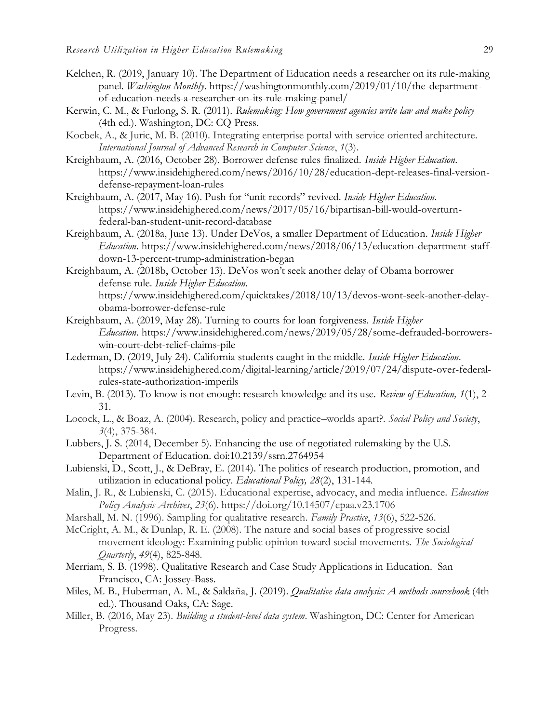- Kelchen, R. (2019, January 10). The Department of Education needs a researcher on its rule-making panel. *Washington Monthly*. https://washingtonmonthly.com/2019/01/10/the-departmentof-education-needs-a-researcher-on-its-rule-making-panel/
- Kerwin, C. M., & Furlong, S. R. (2011). *Rulemaking: How government agencies write law and make policy*  (4th ed.). Washington, DC: CQ Press.
- Kocbek, A., & Juric, M. B. (2010). Integrating enterprise portal with service oriented architecture. *International Journal of Advanced Research in Computer Science*, *1*(3).
- Kreighbaum, A. (2016, October 28). Borrower defense rules finalized. *Inside Higher Education*. https://www.insidehighered.com/news/2016/10/28/education-dept-releases-final-versiondefense-repayment-loan-rules
- Kreighbaum, A. (2017, May 16). Push for "unit records" revived. *Inside Higher Education*. https://www.insidehighered.com/news/2017/05/16/bipartisan-bill-would-overturnfederal-ban-student-unit-record-database
- Kreighbaum, A. (2018a, June 13). Under DeVos, a smaller Department of Education. *Inside Higher Education*. https://www.insidehighered.com/news/2018/06/13/education-department-staffdown-13-percent-trump-administration-began
- Kreighbaum, A. (2018b, October 13). DeVos won't seek another delay of Obama borrower defense rule. *Inside Higher Education*. https://www.insidehighered.com/quicktakes/2018/10/13/devos-wont-seek-another-delayobama-borrower-defense-rule
- Kreighbaum, A. (2019, May 28). Turning to courts for loan forgiveness. *Inside Higher Education*. https://www.insidehighered.com/news/2019/05/28/some-defrauded-borrowerswin-court-debt-relief-claims-pile
- Lederman, D. (2019, July 24). California students caught in the middle. *Inside Higher Education*. https://www.insidehighered.com/digital-learning/article/2019/07/24/dispute-over-federalrules-state-authorization-imperils
- Levin, B. (2013). To know is not enough: research knowledge and its use. *Review of Education, 1*(1), 2- 31.
- Locock, L., & Boaz, A. (2004). Research, policy and practice–worlds apart?. *Social Policy and Society*, *3*(4), 375-384.
- Lubbers, J. S. (2014, December 5). Enhancing the use of negotiated rulemaking by the U.S. Department of Education. doi:10.2139/ssrn.2764954
- Lubienski, D., Scott, J., & DeBray, E. (2014). The politics of research production, promotion, and utilization in educational policy. *Educational Policy, 28*(2), 131-144.
- Malin, J. R., & Lubienski, C. (2015). Educational expertise, advocacy, and media influence. *Education Policy Analysis Archives*, *23*(6). https://doi.org/10.14507/epaa.v23.1706
- Marshall, M. N. (1996). Sampling for qualitative research. *Family Practice*, *13*(6), 522-526.
- McCright, A. M., & Dunlap, R. E. (2008). The nature and social bases of progressive social movement ideology: Examining public opinion toward social movements. *The Sociological Quarterly*, *49*(4), 825-848.
- Merriam, S. B. (1998). Qualitative Research and Case Study Applications in Education. San Francisco, CA: Jossey-Bass.
- Miles, M. B., Huberman, A. M., & Saldaña, J. (2019). *Qualitative data analysis: A methods sourcebook* (4th ed.). Thousand Oaks, CA: Sage.
- Miller, B. (2016, May 23). *Building a student-level data system*. Washington, DC: Center for American Progress.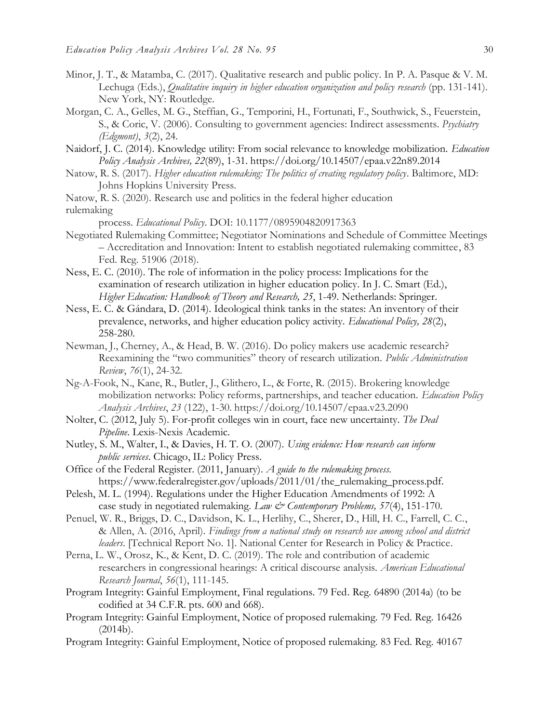- Minor, J. T., & Matamba, C. (2017). Qualitative research and public policy. In P. A. Pasque & V. M. Lechuga (Eds.), *Qualitative inquiry in higher education organization and policy research* (pp. 131-141). New York, NY: Routledge.
- Morgan, C. A., Gelles, M. G., Steffian, G., Temporini, H., Fortunati, F., Southwick, S., Feuerstein, S., & Coric, V. (2006). Consulting to government agencies: Indirect assessments. *Psychiatry (Edgmont)*, *3*(2), 24.
- Naidorf, J. C. (2014). Knowledge utility: From social relevance to knowledge mobilization. *Education Policy Analysis Archives, 22*(89), 1-31. https://doi.org/10.14507/epaa.v22n89.2014
- Natow, R. S. (2017). *Higher education rulemaking: The politics of creating regulatory policy*. Baltimore, MD: Johns Hopkins University Press.
- Natow, R. S. (2020). Research use and politics in the federal higher education

rulemaking

process. *Educational Policy*. DOI: 10.1177/0895904820917363

- Negotiated Rulemaking Committee; Negotiator Nominations and Schedule of Committee Meetings – Accreditation and Innovation: Intent to establish negotiated rulemaking committee, 83 Fed. Reg. 51906 (2018).
- Ness, E. C. (2010). The role of information in the policy process: Implications for the examination of research utilization in higher education policy. In J. C. Smart (Ed.), *Higher Education: Handbook of Theory and Research, 25*, 1-49. Netherlands: Springer.
- Ness, E. C. & Gándara, D. (2014). Ideological think tanks in the states: An inventory of their prevalence, networks, and higher education policy activity. *Educational Policy, 28*(2), 258-280.
- Newman, J., Cherney, A., & Head, B. W. (2016). Do policy makers use academic research? Reexamining the "two communities" theory of research utilization. *Public Administration Review*, *76*(1), 24-32.
- Ng-A-Fook, N., Kane, R., Butler, J., Glithero, L., & Forte, R. (2015). Brokering knowledge mobilization networks: Policy reforms, partnerships, and teacher education. *Education Policy Analysis Archives*, *23* (122), 1-30. https://doi.org/10.14507/epaa.v23.2090
- Nolter, C. (2012, July 5). For-profit colleges win in court, face new uncertainty. *The Deal Pipeline*. Lexis-Nexis Academic.
- Nutley, S. M., Walter, I., & Davies, H. T. O. (2007). *Using evidence: How research can inform public services*. Chicago, IL: Policy Press.
- Office of the Federal Register. (2011, January). *A guide to the rulemaking process.* https://www.federalregister.gov/uploads/2011/01/the\_rulemaking\_process.pdf.
- Pelesh, M. L. (1994). Regulations under the Higher Education Amendments of 1992: A case study in negotiated rulemaking. *Law & Contemporary Problems, 57*(4), 151-170.
- Penuel, W. R., Briggs, D. C., Davidson, K. L., Herlihy, C., Sherer, D., Hill, H. C., Farrell, C. C., & Allen, A. (2016, April). *Findings from a national study on research use among school and district leaders*. [Technical Report No. 1]. National Center for Research in Policy & Practice.
- Perna, L. W., Orosz, K., & Kent, D. C. (2019). The role and contribution of academic researchers in congressional hearings: A critical discourse analysis. *American Educational Research Journal*, *56*(1), 111-145.
- Program Integrity: Gainful Employment, Final regulations. 79 Fed. Reg. 64890 (2014a) (to be codified at 34 C.F.R. pts. 600 and 668).
- Program Integrity: Gainful Employment, Notice of proposed rulemaking. 79 Fed. Reg. 16426 (2014b).
- Program Integrity: Gainful Employment, Notice of proposed rulemaking. 83 Fed. Reg. 40167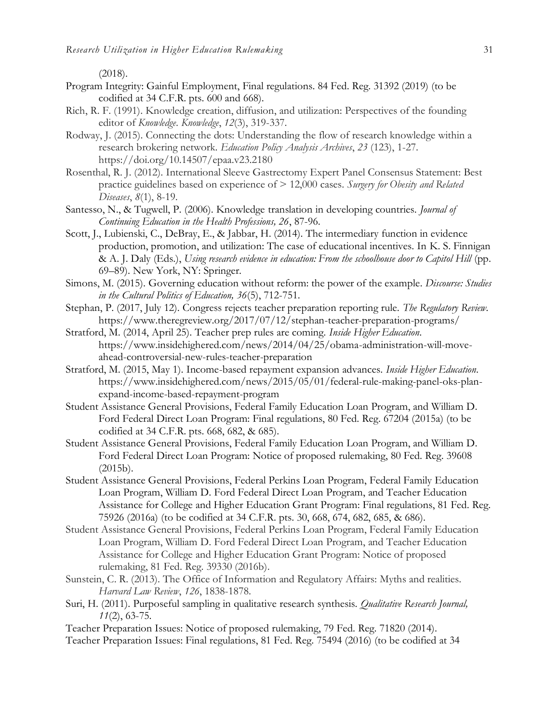(2018).

- Program Integrity: Gainful Employment, Final regulations. 84 Fed. Reg. 31392 (2019) (to be codified at 34 C.F.R. pts. 600 and 668).
- Rich, R. F. (1991). Knowledge creation, diffusion, and utilization: Perspectives of the founding editor of *Knowledge*. *Knowledge*, *12*(3), 319-337.
- Rodway, J. (2015). Connecting the dots: Understanding the flow of research knowledge within a research brokering network. *Education Policy Analysis Archives*, *23* (123), 1-27. https://doi.org/10.14507/epaa.v23.2180
- Rosenthal, R. J. (2012). International Sleeve Gastrectomy Expert Panel Consensus Statement: Best practice guidelines based on experience of > 12,000 cases. *Surgery for Obesity and Related Diseases*, *8*(1), 8-19.
- Santesso, N., & Tugwell, P. (2006). Knowledge translation in developing countries. *Journal of Continuing Education in the Health Professions, 26*, 87-96.
- Scott, J., Lubienski, C., DeBray, E., & Jabbar, H. (2014). The intermediary function in evidence production, promotion, and utilization: The case of educational incentives. In K. S. Finnigan & A. J. Daly (Eds.), *Using research evidence in education: From the schoolhouse door to Capitol Hill* (pp. 69–89). New York, NY: Springer.
- Simons, M. (2015). Governing education without reform: the power of the example*. Discourse: Studies in the Cultural Politics of Education, 36*(5), 712-751.
- Stephan, P. (2017, July 12). Congress rejects teacher preparation reporting rule. *The Regulatory Review.*  https://www.theregreview.org/2017/07/12/stephan-teacher-preparation-programs/
- Stratford, M. (2014, April 25). Teacher prep rules are coming. *Inside Higher Education*. https://www.insidehighered.com/news/2014/04/25/obama-administration-will-moveahead-controversial-new-rules-teacher-preparation
- Stratford, M. (2015, May 1). Income-based repayment expansion advances. *Inside Higher Education*. https://www.insidehighered.com/news/2015/05/01/federal-rule-making-panel-oks-planexpand-income-based-repayment-program
- Student Assistance General Provisions, Federal Family Education Loan Program, and William D. Ford Federal Direct Loan Program: Final regulations, 80 Fed. Reg. 67204 (2015a) (to be codified at 34 C.F.R. pts. 668, 682, & 685).
- Student Assistance General Provisions, Federal Family Education Loan Program, and William D. Ford Federal Direct Loan Program: Notice of proposed rulemaking, 80 Fed. Reg. 39608 (2015b).
- Student Assistance General Provisions, Federal Perkins Loan Program, Federal Family Education Loan Program, William D. Ford Federal Direct Loan Program, and Teacher Education Assistance for College and Higher Education Grant Program: Final regulations, 81 Fed. Reg. 75926 (2016a) (to be codified at 34 C.F.R. pts. 30, 668, 674, 682, 685, & 686).
- Student Assistance General Provisions, Federal Perkins Loan Program, Federal Family Education Loan Program, William D. Ford Federal Direct Loan Program, and Teacher Education Assistance for College and Higher Education Grant Program: Notice of proposed rulemaking, 81 Fed. Reg. 39330 (2016b).
- Sunstein, C. R. (2013). The Office of Information and Regulatory Affairs: Myths and realities. *Harvard Law Review*, *126*, 1838-1878.
- Suri, H. (2011). Purposeful sampling in qualitative research synthesis. *Qualitative Research Journal, 11*(2), 63-75.
- Teacher Preparation Issues: Notice of proposed rulemaking, 79 Fed. Reg. 71820 (2014). Teacher Preparation Issues: Final regulations, 81 Fed. Reg. 75494 (2016) (to be codified at 34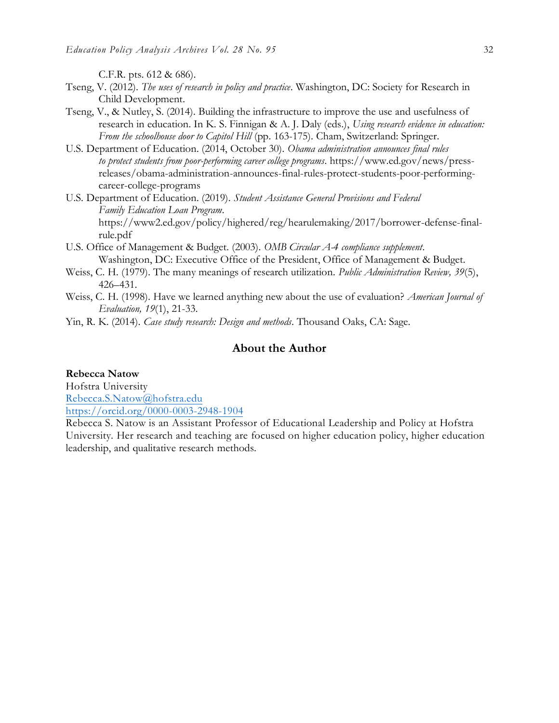C.F.R. pts. 612 & 686).

- Tseng, V. (2012). *The uses of research in policy and practice*. Washington, DC: Society for Research in Child Development.
- Tseng, V., & Nutley, S. (2014). Building the infrastructure to improve the use and usefulness of research in education. In K. S. Finnigan & A. J. Daly (eds.), *Using research evidence in education: From the schoolhouse door to Capitol Hill* (pp. 163-175). Cham, Switzerland: Springer.
- U.S. Department of Education. (2014, October 30). *Obama administration announces final rules to protect students from poor-performing career college programs*. https://www.ed.gov/news/pressreleases/obama-administration-announces-final-rules-protect-students-poor-performingcareer-college-programs
- U.S. Department of Education. (2019). *Student Assistance General Provisions and Federal Family Education Loan Program*. https://www2.ed.gov/policy/highered/reg/hearulemaking/2017/borrower-defense-finalrule.pdf
- U.S. Office of Management & Budget. (2003). *OMB Circular A-4 compliance supplement*. Washington, DC: Executive Office of the President, Office of Management & Budget.
- Weiss, C. H. (1979). The many meanings of research utilization. *Public Administration Review, 39*(5), 426–431.
- Weiss, C. H. (1998). Have we learned anything new about the use of evaluation? *American Journal of Evaluation, 19*(1), 21-33.
- Yin, R. K. (2014). *Case study research: Design and methods*. Thousand Oaks, CA: Sage.

# **About the Author**

#### **Rebecca Natow**

Hofstra University [Rebecca.S.Natow@hofstra.edu](mailto:Rebecca.S.Natow@hofstra.edu) <https://orcid.org/0000-0003-2948-1904>

Rebecca S. Natow is an Assistant Professor of Educational Leadership and Policy at Hofstra University. Her research and teaching are focused on higher education policy, higher education leadership, and qualitative research methods.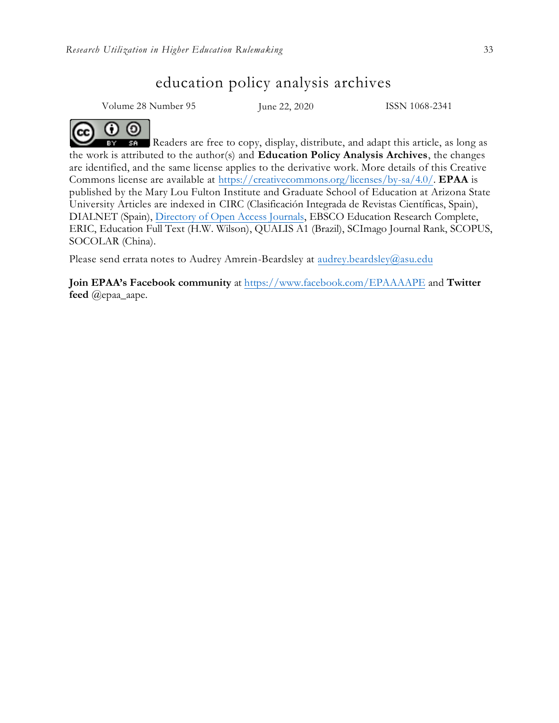# education policy analysis archives

Volume 28 Number 95 June 22, 2020 ISSN 1068-2341

# 00

Readers are free to copy, display, distribute, and adapt this article, as long as the work is attributed to the author(s) and **Education Policy Analysis Archives**, the changes are identified, and the same license applies to the derivative work. More details of this Creative Commons license are available at [https://creativecommons.org/licenses/by-sa/4.0/.](https://creativecommons.org/licenses/by-sa/4.0/) **EPAA** is published by the Mary Lou Fulton Institute and Graduate School of Education at Arizona State University Articles are indexed in CIRC (Clasificación Integrada de Revistas Científicas, Spain), DIALNET (Spain), [Directory of Open Access Journals,](http://www.doaj.org/) EBSCO Education Research Complete, ERIC, Education Full Text (H.W. Wilson), QUALIS A1 [\(Brazil\), SCImago Journal Ra](mailto:audrey.beardsley@asu.edu)nk, SCOPUS, SOCOLAR (China).

Please send errata notes to Audrey Amrein-Beardsley at audrey.beardsley@asu.edu

**Join EPAA's Facebook community** at <https://www.facebook.com/EPAAAAPE> and **Twitter feed** @epaa\_aape.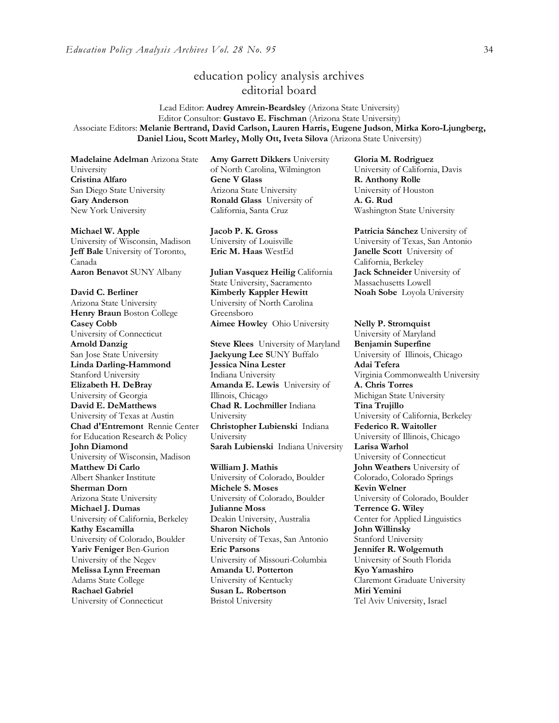# education policy analysis archives editorial board

Lead Editor: **Audrey Amrein-Beardsley** (Arizona State University) Editor Consultor: **Gustavo E. Fischman** (Arizona State University) Associate Editors: **Melanie Bertrand, David Carlson, Lauren Harris, Eugene Judson**, **Mirka Koro-Ljungberg, Daniel Liou, Scott Marley, Molly Ott, Iveta Silova** (Arizona State University)

**Madelaine Adelman** Arizona State University **Cristina Alfaro**  San Diego State University **Gary Anderson** New York University

#### **Michael W. Apple**

University of Wisconsin, Madison **Jeff Bale** University of Toronto, Canada **Aaron Benavot** SUNY Albany **Julian Vasquez Heilig** California

**David C. Berliner**  Arizona State University **Henry Braun** Boston College **Casey Cobb** University of Connecticut **Arnold Danzig** San Jose State University **Linda Darling-Hammond**  Stanford University **Elizabeth H. DeBray**  University of Georgia **David E. DeMatthews** University of Texas at Austin **Chad d'Entremont** Rennie Center for Education Research & Policy **John Diamond** University of Wisconsin, Madison **Matthew Di Carlo**  Albert Shanker Institute **Sherman Dorn** Arizona State University **Michael J. Dumas**  University of California, Berkeley **Kathy Escamilla**  University of Colorado, Boulder **Yariv Feniger** Ben-Gurion University of the Negev **Melissa Lynn Freeman**  Adams State College **Rachael Gabriel** University of Connecticut

**Amy Garrett Dikkers** University of North Carolina, Wilmington **Gene V Glass**  Arizona State University **Ronald Glass** University of California, Santa Cruz

**Jacob P. K. Gross**  University of Louisville

State University, Sacramento **Kimberly Kappler Hewitt** University of North Carolina Greensboro **Aimee Howley** Ohio University **Nelly P. Stromquist** 

**Steve Klees** University of Maryland **Jaekyung Lee S**UNY Buffalo **Jessica Nina Lester** Indiana University **Amanda E. Lewis** University of Illinois, Chicago **Chad R. Lochmiller** Indiana University **Christopher Lubienski** Indiana University **Sarah Lubienski** Indiana University **Larisa Warhol**

**William J. Mathis**  University of Colorado, Boulder **Michele S. Moses**  University of Colorado, Boulder **Julianne Moss** Deakin University, Australia **Sharon Nichols**  University of Texas, San Antonio **Eric Parsons** University of Missouri-Columbia **Amanda U. Potterton** University of Kentucky **Susan L. Robertson** Bristol University

**Gloria M. Rodriguez** University of California, Davis **R. Anthony Rolle** University of Houston **A. G. Rud** Washington State University

**Patricia Sánchez** University of University of Texas, San Antonio **Eric M. Haas** WestEd **Janelle Scott** University of California, Berkeley **Jack Schneider** University of Massachusetts Lowell **Noah Sobe** Loyola University

University of Maryland **Benjamin Superfine**  University of Illinois, Chicago **Adai Tefera**  Virginia Commonwealth University **A. Chris Torres** Michigan State University **Tina Trujillo** University of California, Berkeley **Federico R. Waitoller** University of Illinois, Chicago University of Connecticut **John Weathers** University of Colorado, Colorado Springs **Kevin Welner** University of Colorado, Boulder **Terrence G. Wiley**  Center for Applied Linguistics **John Willinsky**  Stanford University **Jennifer R. Wolgemuth**  University of South Florida **Kyo Yamashiro**  Claremont Graduate University **Miri Yemini** Tel Aviv University, Israel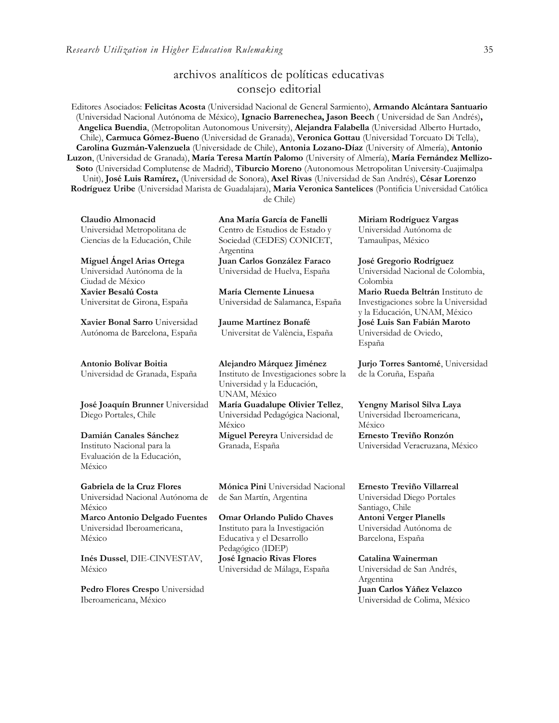# archivos analíticos de políticas educativas consejo editorial

Editores Asociados: **Felicitas Acosta** (Universidad Nacional de General Sarmiento), **Armando Alcántara Santuario** (Universidad Nacional Autónoma de México), **Ignacio Barrenechea, Jason Beech** ( Universidad de San Andrés)**, Angelica Buendia**, (Metropolitan Autonomous University), **Alejandra Falabella** (Universidad Alberto Hurtado, Chile), **Carmuca Gómez-Bueno** (Universidad de Granada), **Veronica Gottau** (Universidad Torcuato Di Tella), **Carolina Guzmán-Valenzuela** (Universidade de Chile), **Antonia Lozano-Díaz** (University of Almería), **Antonio Luzon**, (Universidad de Granada), **María Teresa Martín Palomo** (University of Almería), **María Fernández Mellizo-Soto** (Universidad Complutense de Madrid), **Tiburcio Moreno** (Autonomous Metropolitan University-Cuajimalpa Unit), **José Luis Ramírez,** (Universidad de Sonora), **Axel Rivas** (Universidad de San Andrés), **César Lorenzo Rodríguez Uribe** (Universidad Marista de Guadalajara), **Maria Veronica Santelices** (Pontificia Universidad Católica

de Chile)

**Claudio Almonacid** Universidad Metropolitana de Ciencias de la Educación, Chile

**Miguel Ángel Arias Ortega**  Universidad Autónoma de la Ciudad de México **Xavier Besalú Costa**  Universitat de Girona, España

**[Xavier Bonal](javascript:openRTWindow() Sarro** Universidad Autónoma de Barcelona, España

**[Antonio Bolívar](javascript:openRTWindow() Boitia**

Universidad de Granada, España

**[José Joaquín Brunner](javascript:openRTWindow()** Universidad Diego Portales, Chile

**[Damián Canales Sánchez](javascript:openRTWindow()** Instituto Nacional para la Evaluación de la Educación, México

**Gabriela de la Cruz Flores** Universidad Nacional Autónoma de México **[Marco Antonio Delgado Fuentes](javascript:openRTWindow()** Universidad Iberoamericana, México

**Inés [Dussel](javascript:openRTWindow()**, DIE-CINVESTAV, México

**[Pedro Flores Crespo](javascript:openRTWindow()** Universidad Iberoamericana, México

**Ana María García de Fanelli**  Centro de Estudios de Estado y Sociedad (CEDES) CONICET, Argentina

**Juan Carlos González Faraco**  Universidad de Huelva, España

**María Clemente Linuesa**  Universidad de Salamanca, España

**Jaume Martínez Bonafé** Universitat de València, España

**Alejandro Márquez Jiménez**  Instituto de Investigaciones sobre la Universidad y la Educación, UNAM, México **María Guadalupe Olivier Tellez**, Universidad Pedagógica Nacional, México **[Miguel Pereyra](javascript:openRTWindow()** Universidad de Granada, España

**[Mónica Pini](javascript:openRTWindow()** Universidad Nacional de San Martín, Argentina

**Omar Orlando Pulido Chaves** Instituto para la Investigación Educativa y el Desarrollo Pedagógico (IDEP) **José Ignacio Rivas Flores** Universidad de Málaga, España

**[Miriam Rodríguez Vargas](javascript:openRTWindow()** Universidad Autónoma de Tamaulipas, México

**José Gregorio Rodríguez**  Universidad Nacional de Colombia, Colombia **[Mario Rueda Beltrán](javascript:openRTWindow()** Instituto de

Investigaciones sobre la Universidad y la Educación, UNAM, México **José Luis San Fabián Maroto**  Universidad de Oviedo, España

**[Jurjo Torres Santomé](javascript:openRTWindow()**, Universidad de la Coruña, España

**[Yengny Marisol Silva Laya](javascript:openRTWindow()** Universidad Iberoamericana, México **Ernesto Treviño Ronzón** Universidad Veracruzana, México

**[Ernesto Treviño](javascript:openRTWindow() Villarreal** Universidad Diego Portales Santiago, Chile **[Antoni Verger Planells](javascript:openRTWindow()** Universidad Autónoma de Barcelona, España

**[Catalina Wainerman](javascript:openRTWindow()** Universidad de San Andrés, Argentina **Juan Carlos Yáñez Velazco** Universidad de Colima, México